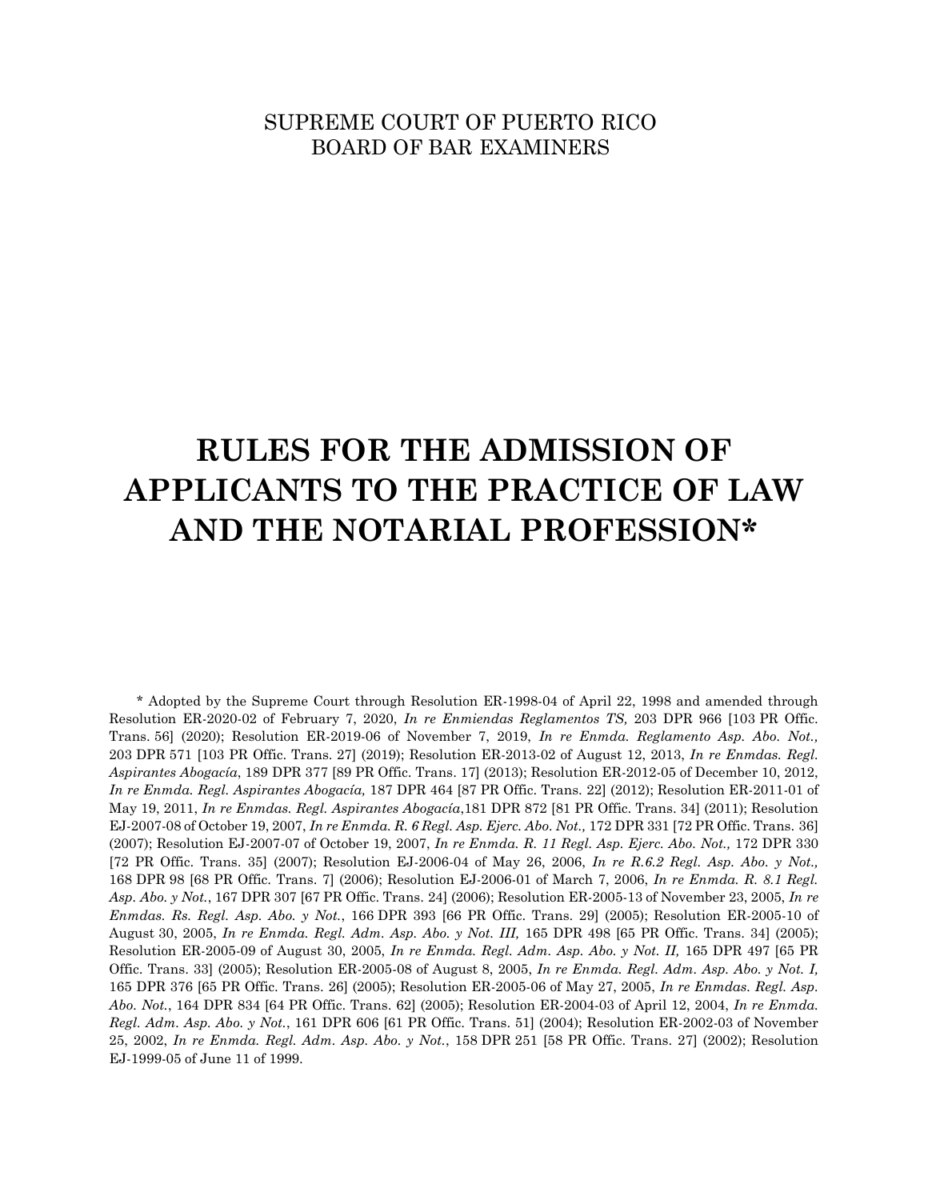# SUPREME COURT OF PUERTO RICO BOARD OF BAR EXAMINERS

# **RULES FOR THE ADMISSION OF APPLICANTS TO THE PRACTICE OF LAW AND THE NOTARIAL PROFESSION\***

\* Adopted by the Supreme Court through Resolution ER-1998-04 of April 22, 1998 and amended through Resolution ER-2020-02 of February 7, 2020, *In re Enmiendas Reglamentos TS,* 203 DPR 966 [103 PR Offic. Trans. 56] (2020); Resolution ER-2019-06 of November 7, 2019, *In re Enmda. Reglamento Asp. Abo. Not.,* 203 DPR 571 [103 PR Offic. Trans. 27] (2019); Resolution ER-2013-02 of August 12, 2013, *In re Enmdas. Regl. Aspirantes Abogacía*, 189 DPR 377 [89 PR Offic. Trans. 17] (2013); Resolution ER-2012-05 of December 10, 2012, *In re Enmda. Regl. Aspirantes Abogacía,* 187 DPR 464 [87 PR Offic. Trans. 22] (2012); Resolution ER-2011-01 of May 19, 2011, *In re Enmdas. Regl. Aspirantes Abogacía*,181 DPR 872 [81 PR Offic. Trans. 34] (2011); Resolution EJ-2007-08 of October 19, 2007, *In re Enmda. R. 6 Regl. Asp. Ejerc. Abo. Not.,* 172 DPR 331 [72 PR Offic. Trans. 36] (2007); Resolution EJ-2007-07 of October 19, 2007, *In re Enmda. R. 11 Regl. Asp. Ejerc. Abo. Not.,* 172 DPR 330 [72 PR Offic. Trans. 35] (2007); Resolution EJ-2006-04 of May 26, 2006, *In re R.6.2 Regl. Asp. Abo. y Not.,*  168 DPR 98 [68 PR Offic. Trans. 7] (2006); Resolution EJ-2006-01 of March 7, 2006, *In re Enmda. R. 8.1 Regl. Asp. Abo. y Not.*, 167 DPR 307 [67 PR Offic. Trans. 24] (2006); Resolution ER-2005-13 of November 23, 2005, *In re Enmdas. Rs. Regl. Asp. Abo. y Not.*, 166 DPR 393 [66 PR Offic. Trans. 29] (2005); Resolution ER-2005-10 of August 30, 2005, *In re Enmda. Regl. Adm. Asp. Abo. y Not. III,* 165 DPR 498 [65 PR Offic. Trans. 34] (2005); Resolution ER-2005-09 of August 30, 2005, *In re Enmda. Regl. Adm. Asp. Abo. y Not. II,* 165 DPR 497 [65 PR Offic. Trans. 33] (2005); Resolution ER-2005-08 of August 8, 2005, *In re Enmda. Regl. Adm. Asp. Abo. y Not. I,*  165 DPR 376 [65 PR Offic. Trans. 26] (2005); Resolution ER-2005-06 of May 27, 2005, *In re Enmdas. Regl. Asp. Abo. Not.*, 164 DPR 834 [64 PR Offic. Trans. 62] (2005); Resolution ER-2004-03 of April 12, 2004, *In re Enmda. Regl. Adm. Asp. Abo. y Not.*, 161 DPR 606 [61 PR Offic. Trans. 51] (2004); Resolution ER-2002-03 of November 25, 2002, *In re Enmda. Regl. Adm. Asp. Abo. y Not.*, 158 DPR 251 [58 PR Offic. Trans. 27] (2002); Resolution EJ-1999-05 of June 11 of 1999.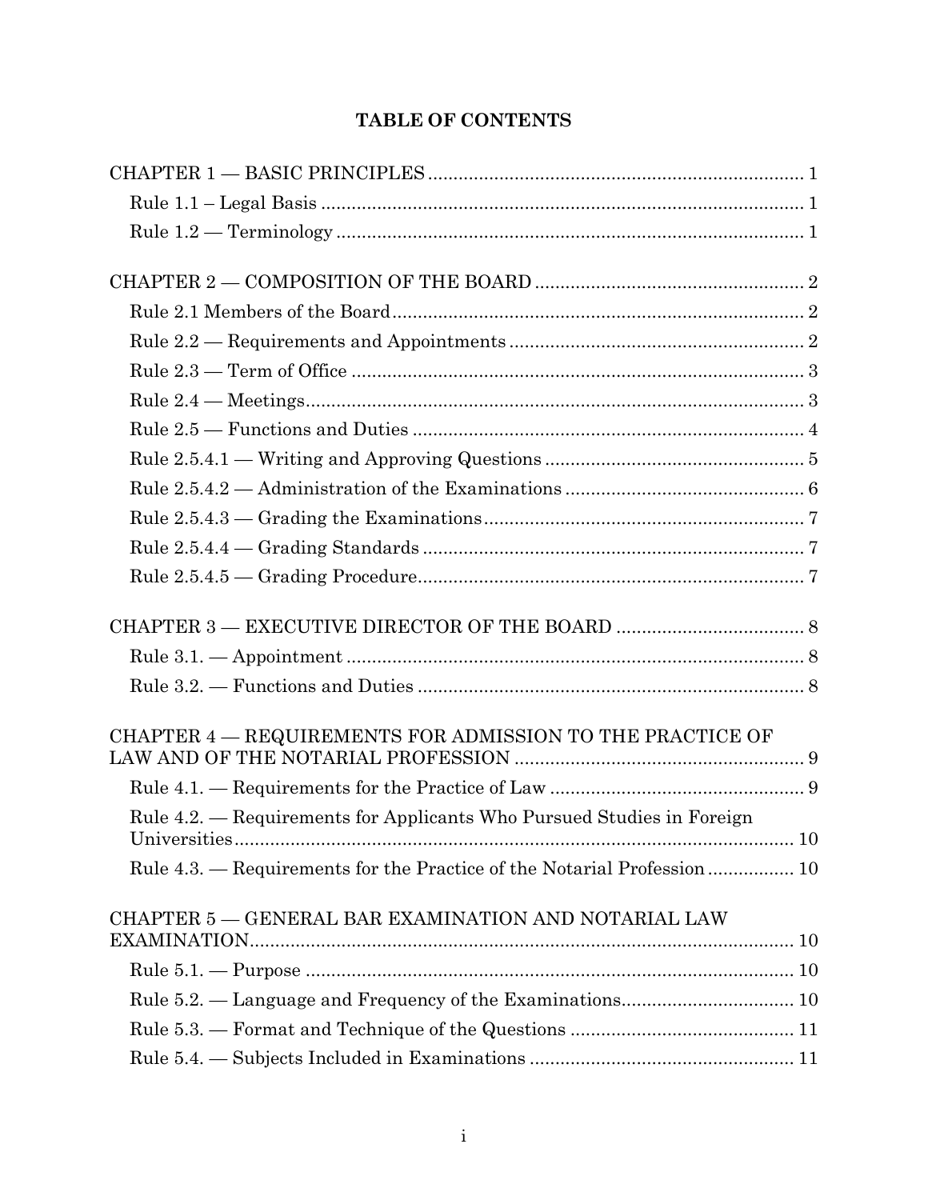# **TABLE OF CONTENTS**

| CHAPTER 4 – REQUIREMENTS FOR ADMISSION TO THE PRACTICE OF                |               |
|--------------------------------------------------------------------------|---------------|
|                                                                          |               |
| Rule 4.2. — Requirements for Applicants Who Pursued Studies in Foreign   |               |
| <i><u><b>Universities</b></u></i>                                        | <sup>10</sup> |
| Rule 4.3. — Requirements for the Practice of the Notarial Profession  10 |               |
| CHAPTER 5 - GENERAL BAR EXAMINATION AND NOTARIAL LAW                     |               |
|                                                                          |               |
|                                                                          |               |
|                                                                          |               |
|                                                                          |               |
|                                                                          |               |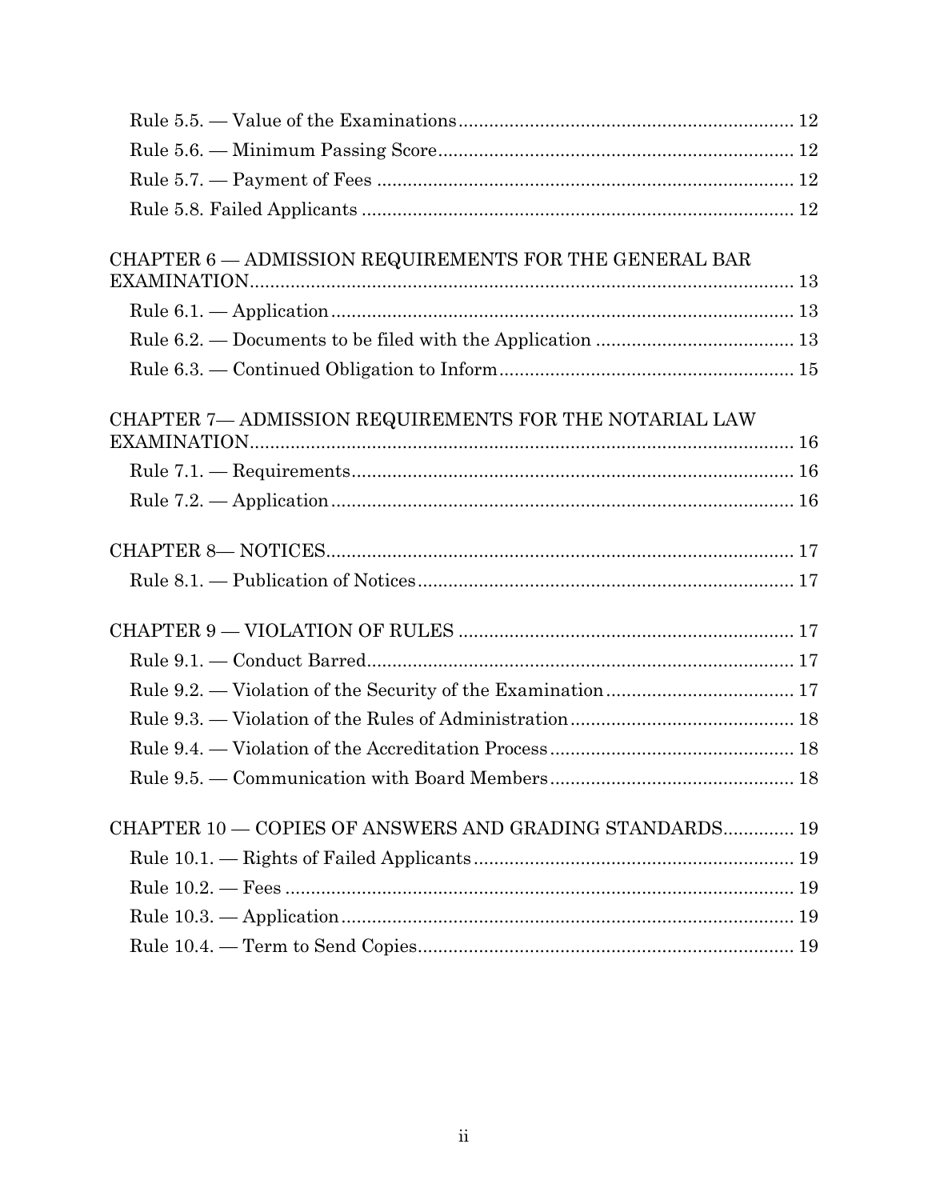| CHAPTER 6 - ADMISSION REQUIREMENTS FOR THE GENERAL BAR  |  |
|---------------------------------------------------------|--|
|                                                         |  |
|                                                         |  |
|                                                         |  |
| CHAPTER 7- ADMISSION REQUIREMENTS FOR THE NOTARIAL LAW  |  |
|                                                         |  |
|                                                         |  |
|                                                         |  |
|                                                         |  |
|                                                         |  |
|                                                         |  |
|                                                         |  |
|                                                         |  |
|                                                         |  |
|                                                         |  |
|                                                         |  |
| CHAPTER 10 - COPIES OF ANSWERS AND GRADING STANDARDS 19 |  |
|                                                         |  |
|                                                         |  |
|                                                         |  |
|                                                         |  |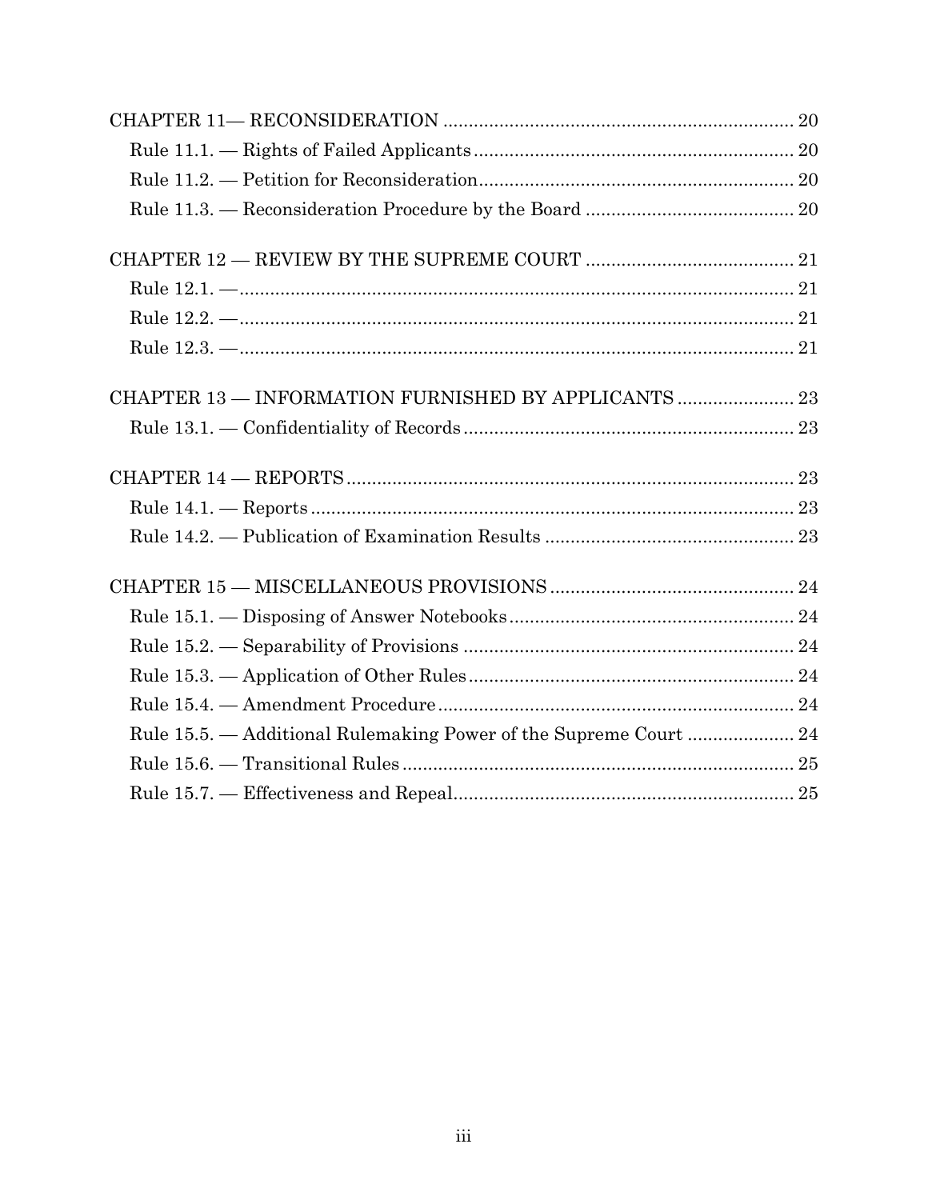| Rule 15.5. — Additional Rulemaking Power of the Supreme Court  24 |  |
|-------------------------------------------------------------------|--|
|                                                                   |  |
|                                                                   |  |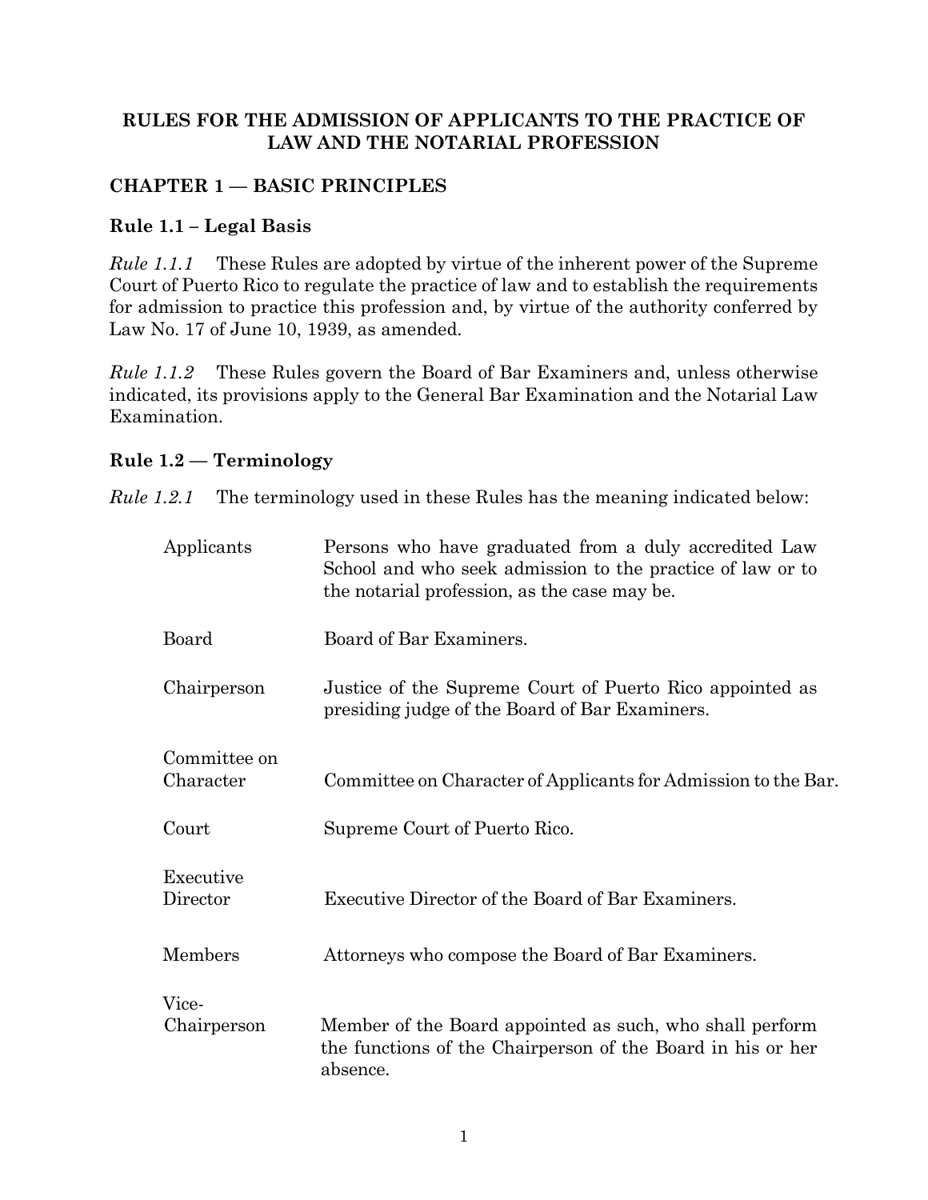#### **RULES FOR THE ADMISSION OF APPLICANTS TO THE PRACTICE OF LAW AND THE NOTARIAL PROFESSION**

# <span id="page-4-0"></span>**CHAPTER 1 — BASIC PRINCIPLES**

#### <span id="page-4-1"></span>**Rule 1.1 – Legal Basis**

*Rule 1.1.1* These Rules are adopted by virtue of the inherent power of the Supreme Court of Puerto Rico to regulate the practice of law and to establish the requirements for admission to practice this profession and, by virtue of the authority conferred by Law No. 17 of June 10, 1939, as amended.

*Rule 1.1.2* These Rules govern the Board of Bar Examiners and, unless otherwise indicated, its provisions apply to the General Bar Examination and the Notarial Law Examination.

#### <span id="page-4-2"></span>**Rule 1.2 — Terminology**

*Rule 1.2.1* The terminology used in these Rules has the meaning indicated below:

| Applicants                | Persons who have graduated from a duly accredited Law<br>School and who seek admission to the practice of law or to<br>the notarial profession, as the case may be. |
|---------------------------|---------------------------------------------------------------------------------------------------------------------------------------------------------------------|
| Board                     | Board of Bar Examiners.                                                                                                                                             |
| Chairperson               | Justice of the Supreme Court of Puerto Rico appointed as<br>presiding judge of the Board of Bar Examiners.                                                          |
| Committee on<br>Character | Committee on Character of Applicants for Admission to the Bar.                                                                                                      |
| Court                     | Supreme Court of Puerto Rico.                                                                                                                                       |
| Executive<br>Director     | Executive Director of the Board of Bar Examiners.                                                                                                                   |
| Members                   | Attorneys who compose the Board of Bar Examiners.                                                                                                                   |
| Vice-                     |                                                                                                                                                                     |
| Chairperson               | Member of the Board appointed as such, who shall perform<br>the functions of the Chairperson of the Board in his or her<br>absence.                                 |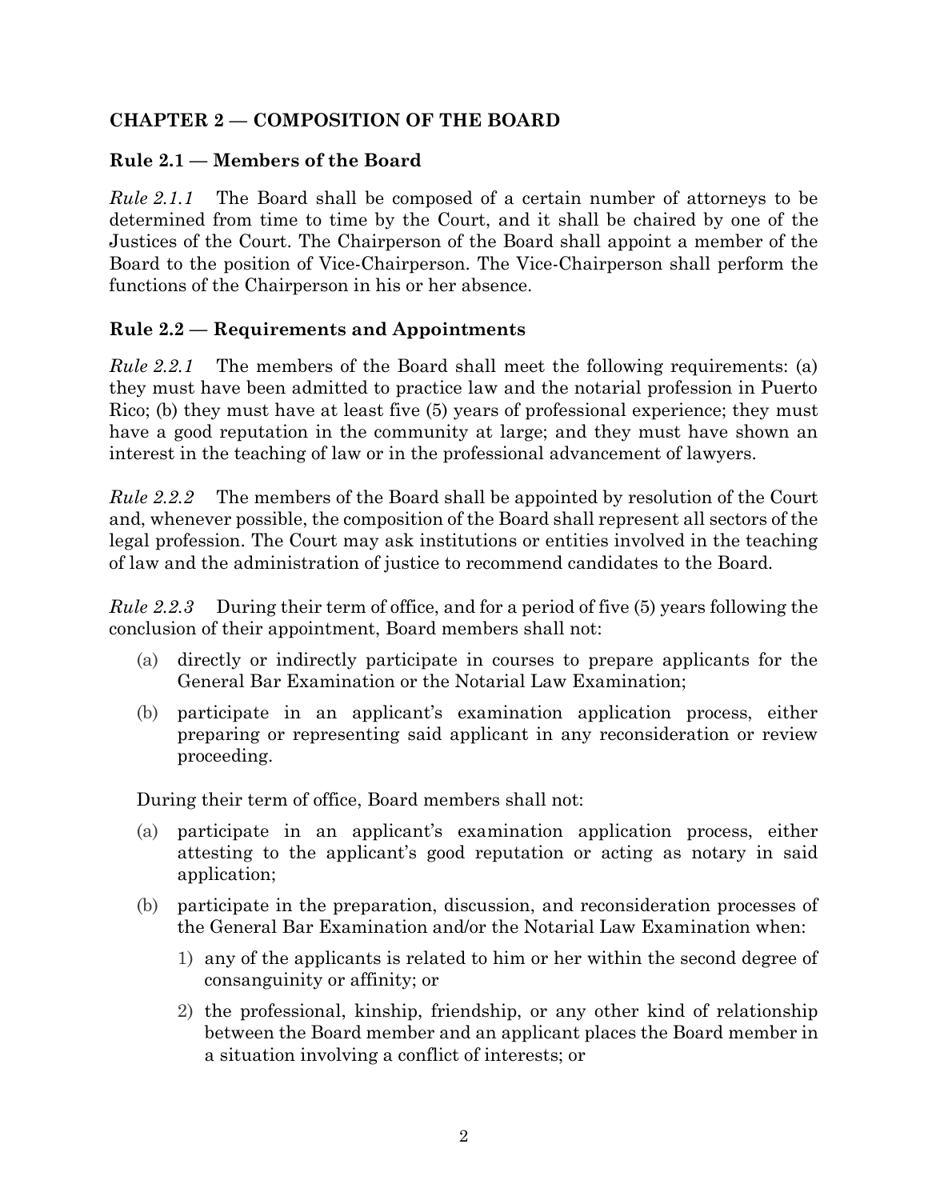#### <span id="page-5-0"></span>**CHAPTER 2 — COMPOSITION OF THE BOARD**

#### <span id="page-5-1"></span>**Rule 2.1 — Members of the Board**

*Rule 2.1.1* The Board shall be composed of a certain number of attorneys to be determined from time to time by the Court, and it shall be chaired by one of the Justices of the Court. The Chairperson of the Board shall appoint a member of the Board to the position of Vice-Chairperson. The Vice-Chairperson shall perform the functions of the Chairperson in his or her absence.

# <span id="page-5-2"></span>**Rule 2.2 — Requirements and Appointments**

*Rule 2.2.1* The members of the Board shall meet the following requirements: (a) they must have been admitted to practice law and the notarial profession in Puerto Rico; (b) they must have at least five (5) years of professional experience; they must have a good reputation in the community at large; and they must have shown an interest in the teaching of law or in the professional advancement of lawyers.

*Rule 2.2.2* The members of the Board shall be appointed by resolution of the Court and, whenever possible, the composition of the Board shall represent all sectors of the legal profession. The Court may ask institutions or entities involved in the teaching of law and the administration of justice to recommend candidates to the Board.

*Rule 2.2.3* During their term of office, and for a period of five (5) years following the conclusion of their appointment, Board members shall not:

- (a) directly or indirectly participate in courses to prepare applicants for the General Bar Examination or the Notarial Law Examination;
- (b) participate in an applicant's examination application process, either preparing or representing said applicant in any reconsideration or review proceeding.

During their term of office, Board members shall not:

- (a) participate in an applicant's examination application process, either attesting to the applicant's good reputation or acting as notary in said application;
- (b) participate in the preparation, discussion, and reconsideration processes of the General Bar Examination and/or the Notarial Law Examination when:
	- 1) any of the applicants is related to him or her within the second degree of consanguinity or affinity; or
	- 2) the professional, kinship, friendship, or any other kind of relationship between the Board member and an applicant places the Board member in a situation involving a conflict of interests; or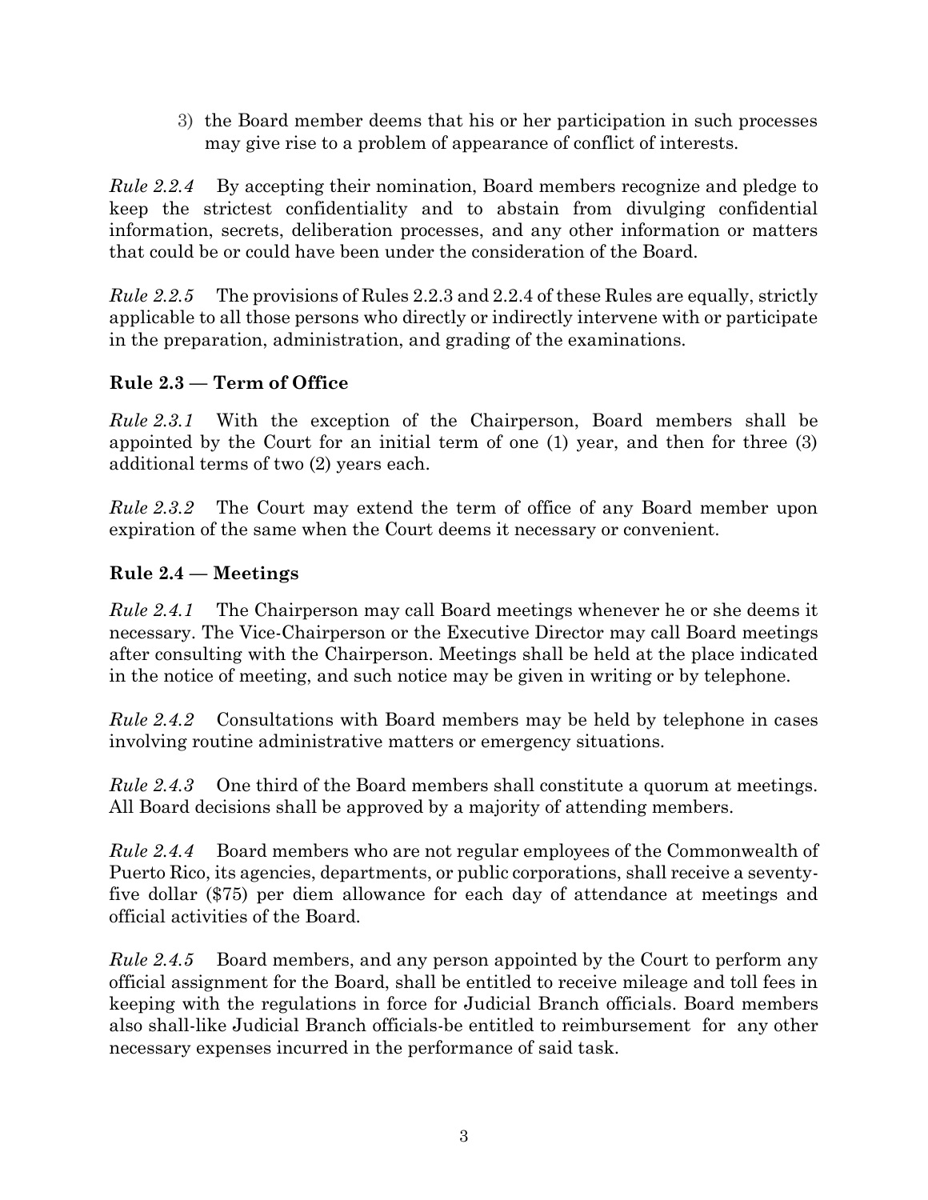3) the Board member deems that his or her participation in such processes may give rise to a problem of appearance of conflict of interests.

*Rule 2.2.4* By accepting their nomination, Board members recognize and pledge to keep the strictest confidentiality and to abstain from divulging confidential information, secrets, deliberation processes, and any other information or matters that could be or could have been under the consideration of the Board.

*Rule 2.2.5* The provisions of Rules 2.2.3 and 2.2.4 of these Rules are equally, strictly applicable to all those persons who directly or indirectly intervene with or participate in the preparation, administration, and grading of the examinations.

# <span id="page-6-0"></span>**Rule 2.3 — Term of Office**

*Rule 2.3.1* With the exception of the Chairperson, Board members shall be appointed by the Court for an initial term of one (1) year, and then for three (3) additional terms of two (2) years each.

*Rule 2.3.2* The Court may extend the term of office of any Board member upon expiration of the same when the Court deems it necessary or convenient.

# <span id="page-6-1"></span>**Rule 2.4 — Meetings**

*Rule 2.4.1* The Chairperson may call Board meetings whenever he or she deems it necessary. The Vice-Chairperson or the Executive Director may call Board meetings after consulting with the Chairperson. Meetings shall be held at the place indicated in the notice of meeting, and such notice may be given in writing or by telephone.

*Rule 2.4.2* Consultations with Board members may be held by telephone in cases involving routine administrative matters or emergency situations.

*Rule 2.4.3* One third of the Board members shall constitute a quorum at meetings. All Board decisions shall be approved by a majority of attending members.

*Rule 2.4.4* Board members who are not regular employees of the Commonwealth of Puerto Rico, its agencies, departments, or public corporations, shall receive a seventyfive dollar (\$75) per diem allowance for each day of attendance at meetings and official activities of the Board.

*Rule 2.4.5* Board members, and any person appointed by the Court to perform any official assignment for the Board, shall be entitled to receive mileage and toll fees in keeping with the regulations in force for Judicial Branch officials. Board members also shall-like Judicial Branch officials-be entitled to reimbursement for any other necessary expenses incurred in the performance of said task.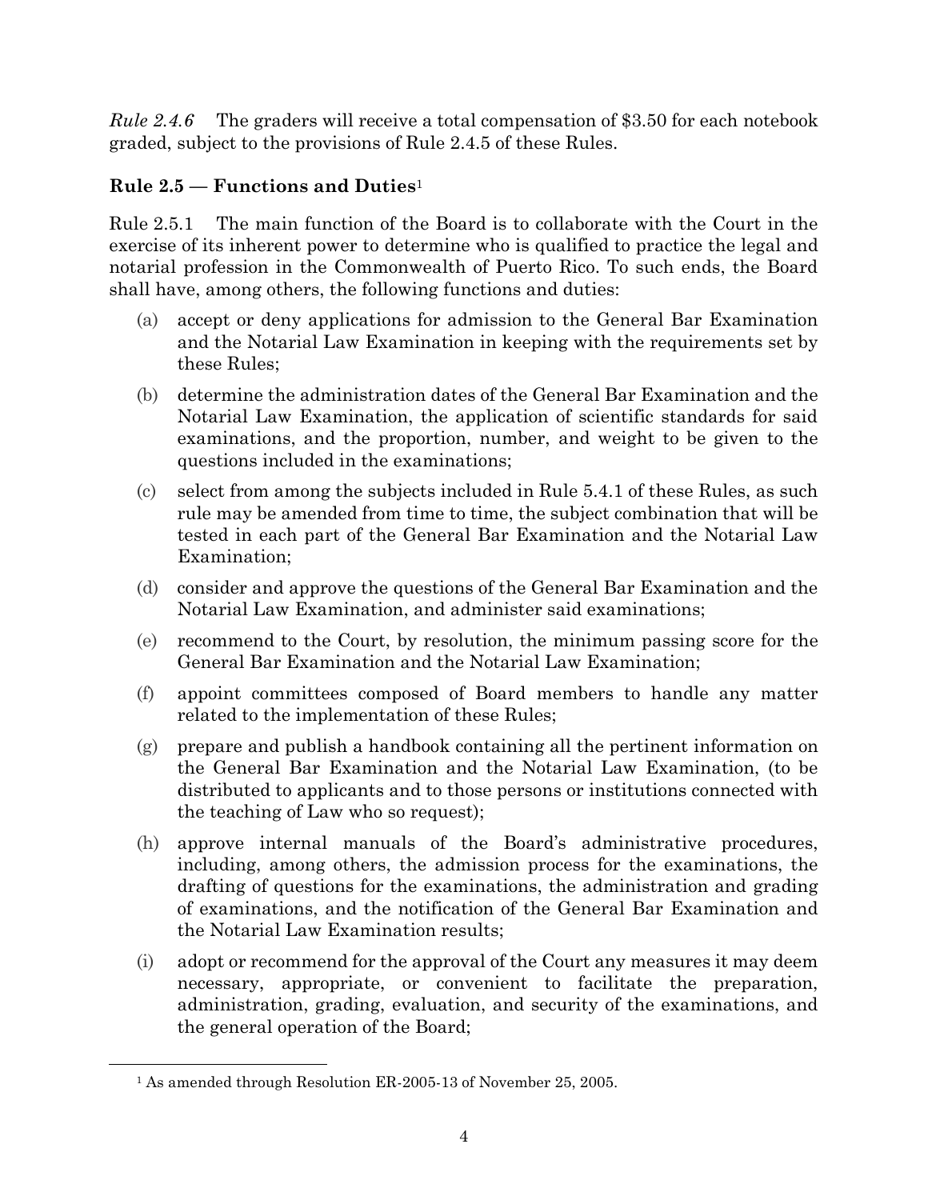*Rule 2.4.6* The graders will receive a total compensation of \$3.50 for each notebook graded, subject to the provisions of Rule 2.4.5 of these Rules.

# <span id="page-7-0"></span>**Rule 2.5 — Functions and Duties**<sup>1</sup>

Rule 2.5.1 The main function of the Board is to collaborate with the Court in the exercise of its inherent power to determine who is qualified to practice the legal and notarial profession in the Commonwealth of Puerto Rico. To such ends, the Board shall have, among others, the following functions and duties:

- (a) accept or deny applications for admission to the General Bar Examination and the Notarial Law Examination in keeping with the requirements set by these Rules;
- (b) determine the administration dates of the General Bar Examination and the Notarial Law Examination, the application of scientific standards for said examinations, and the proportion, number, and weight to be given to the questions included in the examinations;
- (c) select from among the subjects included in Rule 5.4.1 of these Rules, as such rule may be amended from time to time, the subject combination that will be tested in each part of the General Bar Examination and the Notarial Law Examination;
- (d) consider and approve the questions of the General Bar Examination and the Notarial Law Examination, and administer said examinations;
- (e) recommend to the Court, by resolution, the minimum passing score for the General Bar Examination and the Notarial Law Examination;
- (f) appoint committees composed of Board members to handle any matter related to the implementation of these Rules;
- (g) prepare and publish a handbook containing all the pertinent information on the General Bar Examination and the Notarial Law Examination, (to be distributed to applicants and to those persons or institutions connected with the teaching of Law who so request);
- (h) approve internal manuals of the Board's administrative procedures, including, among others, the admission process for the examinations, the drafting of questions for the examinations, the administration and grading of examinations, and the notification of the General Bar Examination and the Notarial Law Examination results;
- (i) adopt or recommend for the approval of the Court any measures it may deem necessary, appropriate, or convenient to facilitate the preparation, administration, grading, evaluation, and security of the examinations, and the general operation of the Board;

<sup>1</sup> As amended through Resolution ER-2005-13 of November 25, 2005.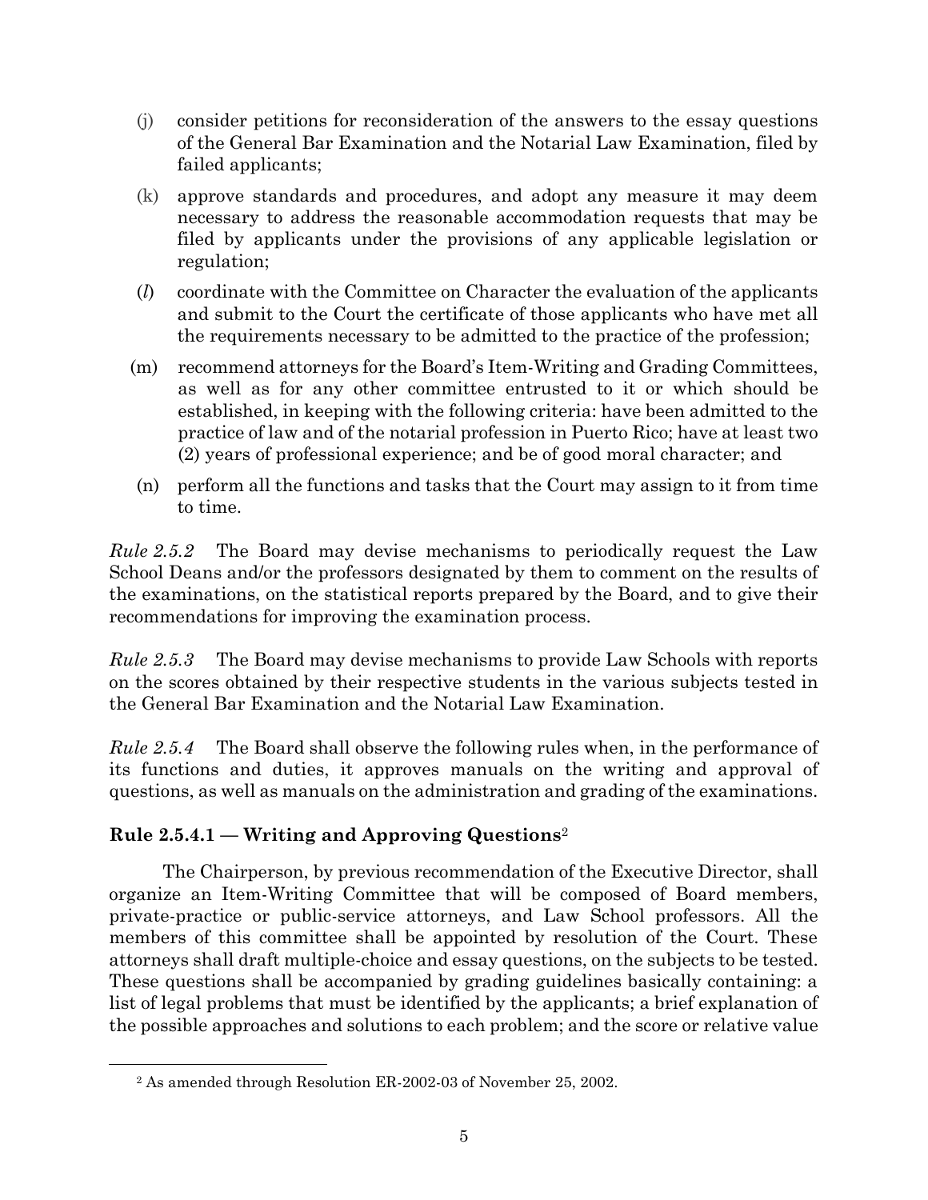- (j) consider petitions for reconsideration of the answers to the essay questions of the General Bar Examination and the Notarial Law Examination, filed by failed applicants;
- (k) approve standards and procedures, and adopt any measure it may deem necessary to address the reasonable accommodation requests that may be filed by applicants under the provisions of any applicable legislation or regulation;
- (*l*) coordinate with the Committee on Character the evaluation of the applicants and submit to the Court the certificate of those applicants who have met all the requirements necessary to be admitted to the practice of the profession;
- (m) recommend attorneys for the Board's Item-Writing and Grading Committees, as well as for any other committee entrusted to it or which should be established, in keeping with the following criteria: have been admitted to the practice of law and of the notarial profession in Puerto Rico; have at least two (2) years of professional experience; and be of good moral character; and
- (n) perform all the functions and tasks that the Court may assign to it from time to time.

*Rule 2.5.2* The Board may devise mechanisms to periodically request the Law School Deans and/or the professors designated by them to comment on the results of the examinations, on the statistical reports prepared by the Board, and to give their recommendations for improving the examination process.

*Rule 2.5.3* The Board may devise mechanisms to provide Law Schools with reports on the scores obtained by their respective students in the various subjects tested in the General Bar Examination and the Notarial Law Examination.

*Rule 2.5.4* The Board shall observe the following rules when, in the performance of its functions and duties, it approves manuals on the writing and approval of questions, as well as manuals on the administration and grading of the examinations.

# <span id="page-8-0"></span>**Rule 2.5.4.1 — Writing and Approving Questions**<sup>2</sup>

The Chairperson, by previous recommendation of the Executive Director, shall organize an Item-Writing Committee that will be composed of Board members, private-practice or public-service attorneys, and Law School professors. All the members of this committee shall be appointed by resolution of the Court. These attorneys shall draft multiple-choice and essay questions, on the subjects to be tested. These questions shall be accompanied by grading guidelines basically containing: a list of legal problems that must be identified by the applicants; a brief explanation of the possible approaches and solutions to each problem; and the score or relative value

<sup>2</sup> As amended through Resolution ER-2002-03 of November 25, 2002.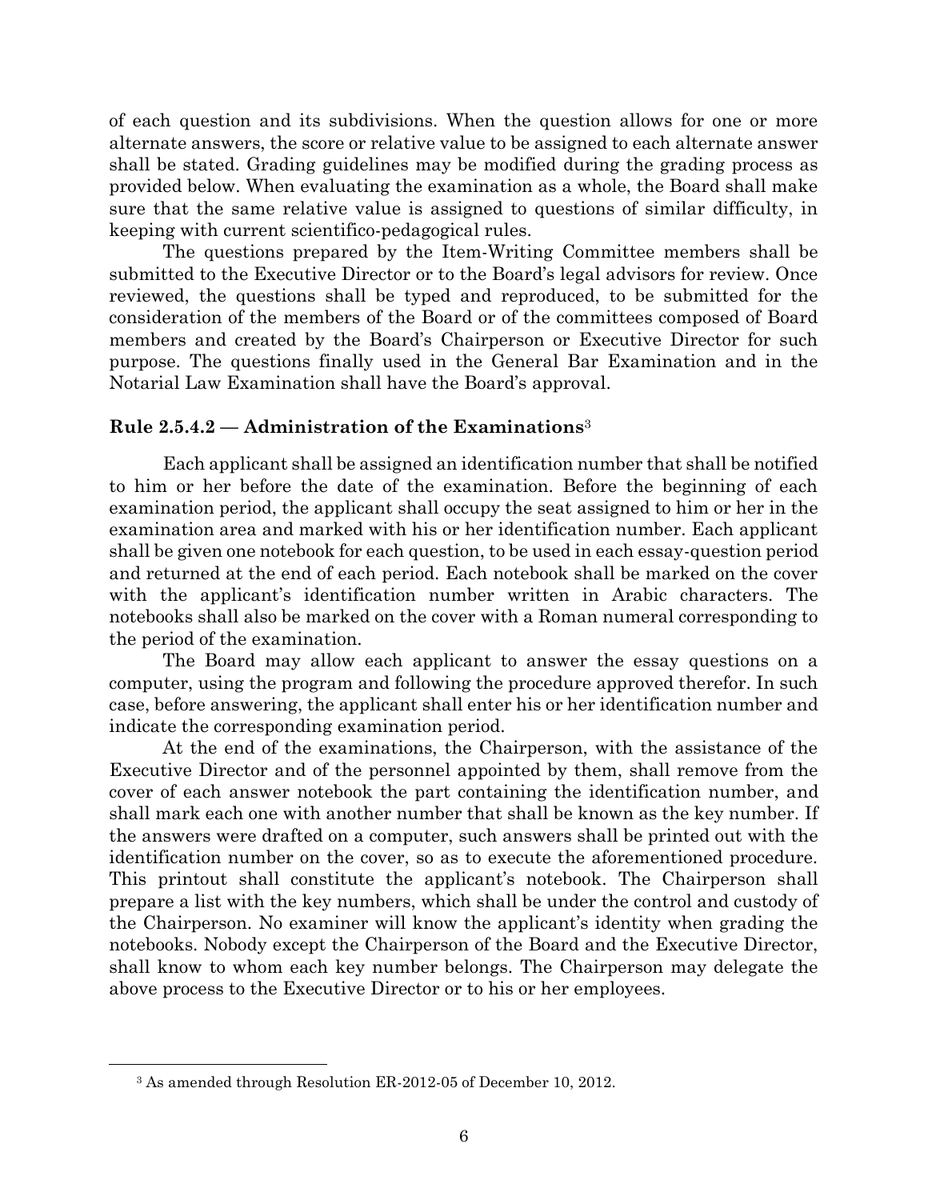of each question and its subdivisions. When the question allows for one or more alternate answers, the score or relative value to be assigned to each alternate answer shall be stated. Grading guidelines may be modified during the grading process as provided below. When evaluating the examination as a whole, the Board shall make sure that the same relative value is assigned to questions of similar difficulty, in keeping with current scientifico-pedagogical rules.

The questions prepared by the Item-Writing Committee members shall be submitted to the Executive Director or to the Board's legal advisors for review. Once reviewed, the questions shall be typed and reproduced, to be submitted for the consideration of the members of the Board or of the committees composed of Board members and created by the Board's Chairperson or Executive Director for such purpose. The questions finally used in the General Bar Examination and in the Notarial Law Examination shall have the Board's approval.

#### <span id="page-9-0"></span>**Rule 2.5.4.2 — Administration of the Examinations**<sup>3</sup>

Each applicant shall be assigned an identification number that shall be notified to him or her before the date of the examination. Before the beginning of each examination period, the applicant shall occupy the seat assigned to him or her in the examination area and marked with his or her identification number. Each applicant shall be given one notebook for each question, to be used in each essay-question period and returned at the end of each period. Each notebook shall be marked on the cover with the applicant's identification number written in Arabic characters. The notebooks shall also be marked on the cover with a Roman numeral corresponding to the period of the examination.

The Board may allow each applicant to answer the essay questions on a computer, using the program and following the procedure approved therefor. In such case, before answering, the applicant shall enter his or her identification number and indicate the corresponding examination period.

At the end of the examinations, the Chairperson, with the assistance of the Executive Director and of the personnel appointed by them, shall remove from the cover of each answer notebook the part containing the identification number, and shall mark each one with another number that shall be known as the key number. If the answers were drafted on a computer, such answers shall be printed out with the identification number on the cover, so as to execute the aforementioned procedure. This printout shall constitute the applicant's notebook. The Chairperson shall prepare a list with the key numbers, which shall be under the control and custody of the Chairperson. No examiner will know the applicant's identity when grading the notebooks. Nobody except the Chairperson of the Board and the Executive Director, shall know to whom each key number belongs. The Chairperson may delegate the above process to the Executive Director or to his or her employees.

<sup>3</sup> As amended through Resolution ER-2012-05 of December 10, 2012.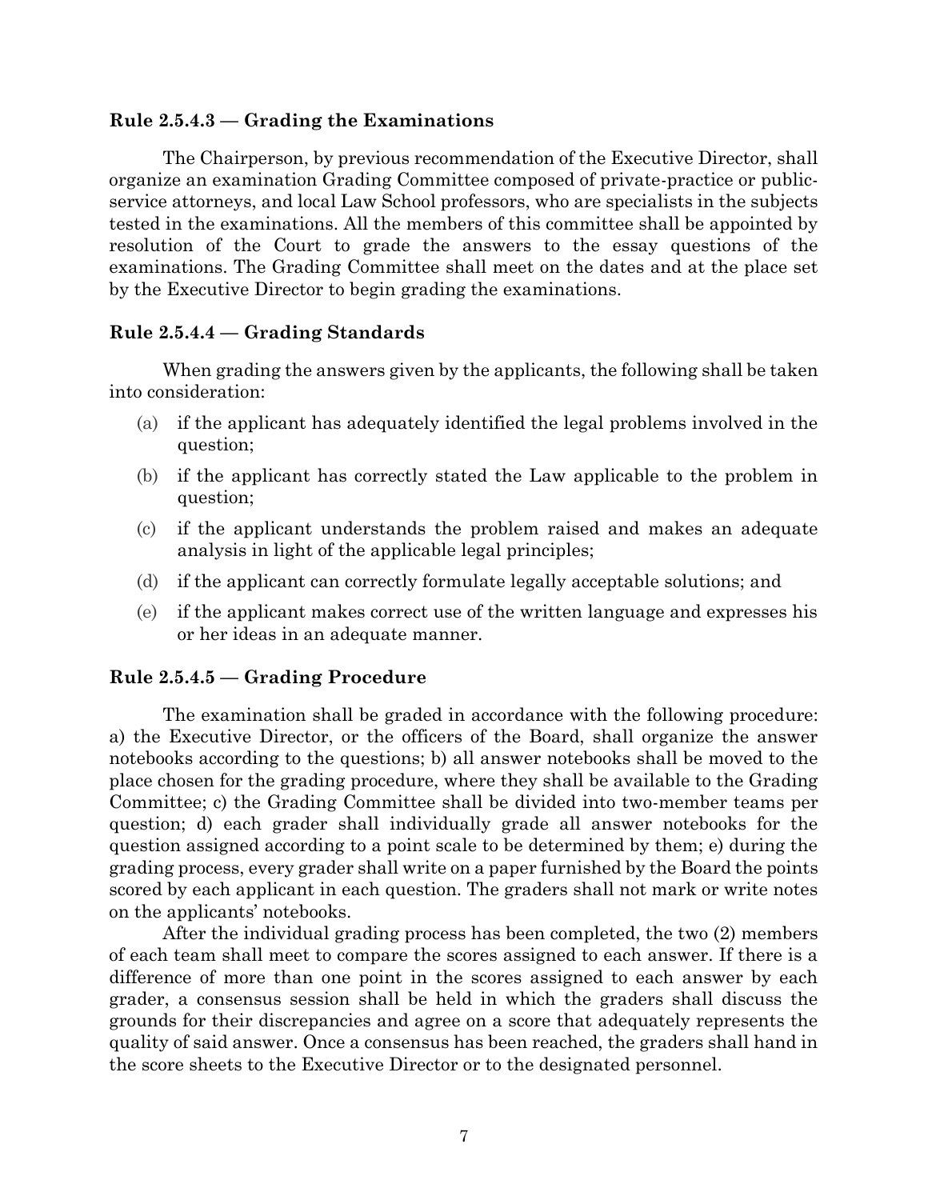#### <span id="page-10-0"></span>**Rule 2.5.4.3 — Grading the Examinations**

The Chairperson, by previous recommendation of the Executive Director, shall organize an examination Grading Committee composed of private-practice or publicservice attorneys, and local Law School professors, who are specialists in the subjects tested in the examinations. All the members of this committee shall be appointed by resolution of the Court to grade the answers to the essay questions of the examinations. The Grading Committee shall meet on the dates and at the place set by the Executive Director to begin grading the examinations.

#### <span id="page-10-1"></span>**Rule 2.5.4.4 — Grading Standards**

When grading the answers given by the applicants, the following shall be taken into consideration:

- (a) if the applicant has adequately identified the legal problems involved in the question;
- (b) if the applicant has correctly stated the Law applicable to the problem in question;
- (c) if the applicant understands the problem raised and makes an adequate analysis in light of the applicable legal principles;
- (d) if the applicant can correctly formulate legally acceptable solutions; and
- (e) if the applicant makes correct use of the written language and expresses his or her ideas in an adequate manner.

#### <span id="page-10-2"></span>**Rule 2.5.4.5 — Grading Procedure**

The examination shall be graded in accordance with the following procedure: a) the Executive Director, or the officers of the Board, shall organize the answer notebooks according to the questions; b) all answer notebooks shall be moved to the place chosen for the grading procedure, where they shall be available to the Grading Committee; c) the Grading Committee shall be divided into two-member teams per question; d) each grader shall individually grade all answer notebooks for the question assigned according to a point scale to be determined by them; e) during the grading process, every grader shall write on a paper furnished by the Board the points scored by each applicant in each question. The graders shall not mark or write notes on the applicants' notebooks.

After the individual grading process has been completed, the two (2) members of each team shall meet to compare the scores assigned to each answer. If there is a difference of more than one point in the scores assigned to each answer by each grader, a consensus session shall be held in which the graders shall discuss the grounds for their discrepancies and agree on a score that adequately represents the quality of said answer. Once a consensus has been reached, the graders shall hand in the score sheets to the Executive Director or to the designated personnel.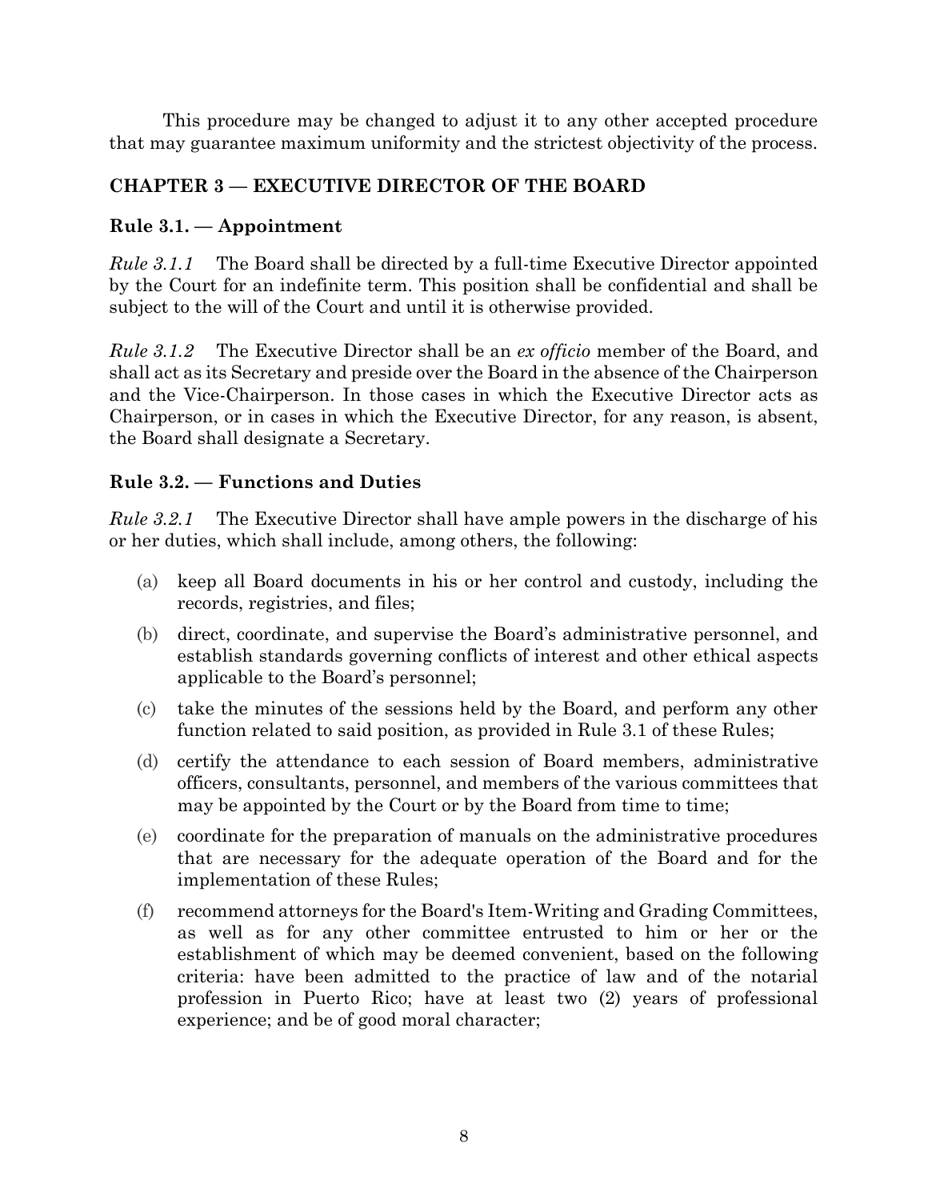This procedure may be changed to adjust it to any other accepted procedure that may guarantee maximum uniformity and the strictest objectivity of the process.

# <span id="page-11-0"></span>**CHAPTER 3 — EXECUTIVE DIRECTOR OF THE BOARD**

#### <span id="page-11-1"></span>**Rule 3.1. — Appointment**

*Rule 3.1.1* The Board shall be directed by a full-time Executive Director appointed by the Court for an indefinite term. This position shall be confidential and shall be subject to the will of the Court and until it is otherwise provided.

*Rule 3.1.2* The Executive Director shall be an *ex officio* member of the Board, and shall act as its Secretary and preside over the Board in the absence of the Chairperson and the Vice-Chairperson. In those cases in which the Executive Director acts as Chairperson, or in cases in which the Executive Director, for any reason, is absent, the Board shall designate a Secretary.

# <span id="page-11-2"></span>**Rule 3.2. — Functions and Duties**

*Rule 3.2.1* The Executive Director shall have ample powers in the discharge of his or her duties, which shall include, among others, the following:

- (a) keep all Board documents in his or her control and custody, including the records, registries, and files;
- (b) direct, coordinate, and supervise the Board's administrative personnel, and establish standards governing conflicts of interest and other ethical aspects applicable to the Board's personnel;
- (c) take the minutes of the sessions held by the Board, and perform any other function related to said position, as provided in Rule 3.1 of these Rules;
- (d) certify the attendance to each session of Board members, administrative officers, consultants, personnel, and members of the various committees that may be appointed by the Court or by the Board from time to time;
- (e) coordinate for the preparation of manuals on the administrative procedures that are necessary for the adequate operation of the Board and for the implementation of these Rules;
- (f) recommend attorneys for the Board's Item-Writing and Grading Committees, as well as for any other committee entrusted to him or her or the establishment of which may be deemed convenient, based on the following criteria: have been admitted to the practice of law and of the notarial profession in Puerto Rico; have at least two (2) years of professional experience; and be of good moral character;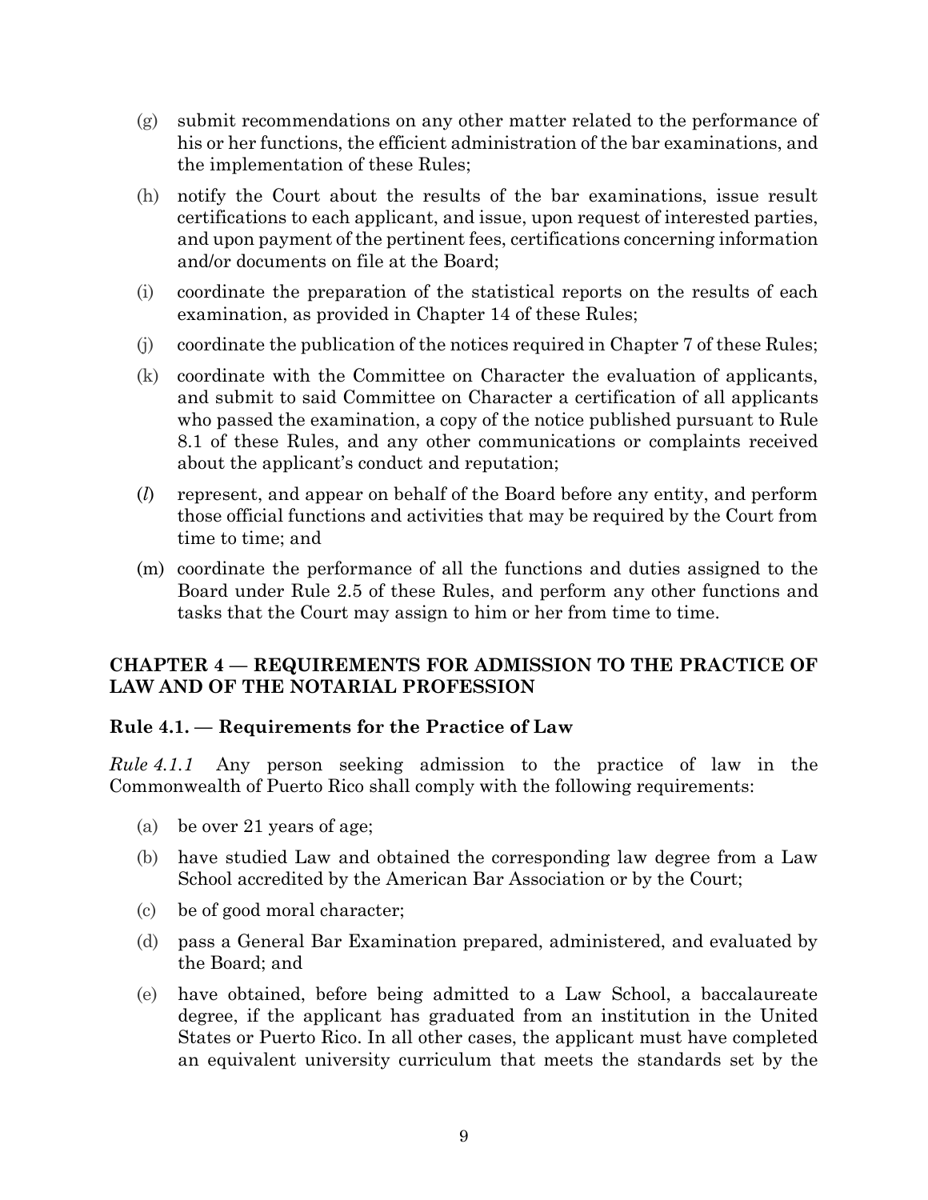- (g) submit recommendations on any other matter related to the performance of his or her functions, the efficient administration of the bar examinations, and the implementation of these Rules;
- (h) notify the Court about the results of the bar examinations, issue result certifications to each applicant, and issue, upon request of interested parties, and upon payment of the pertinent fees, certifications concerning information and/or documents on file at the Board;
- (i) coordinate the preparation of the statistical reports on the results of each examination, as provided in Chapter 14 of these Rules;
- (j) coordinate the publication of the notices required in Chapter 7 of these Rules;
- (k) coordinate with the Committee on Character the evaluation of applicants, and submit to said Committee on Character a certification of all applicants who passed the examination, a copy of the notice published pursuant to Rule 8.1 of these Rules, and any other communications or complaints received about the applicant's conduct and reputation;
- (*l*) represent, and appear on behalf of the Board before any entity, and perform those official functions and activities that may be required by the Court from time to time; and
- (m) coordinate the performance of all the functions and duties assigned to the Board under Rule 2.5 of these Rules, and perform any other functions and tasks that the Court may assign to him or her from time to time.

#### <span id="page-12-0"></span>**CHAPTER 4 — REQUIREMENTS FOR ADMISSION TO THE PRACTICE OF LAW AND OF THE NOTARIAL PROFESSION**

#### <span id="page-12-1"></span>**Rule 4.1. — Requirements for the Practice of Law**

*Rule 4.1.1* Any person seeking admission to the practice of law in the Commonwealth of Puerto Rico shall comply with the following requirements:

- (a) be over 21 years of age;
- (b) have studied Law and obtained the corresponding law degree from a Law School accredited by the American Bar Association or by the Court;
- (c) be of good moral character;
- (d) pass a General Bar Examination prepared, administered, and evaluated by the Board; and
- (e) have obtained, before being admitted to a Law School, a baccalaureate degree, if the applicant has graduated from an institution in the United States or Puerto Rico. In all other cases, the applicant must have completed an equivalent university curriculum that meets the standards set by the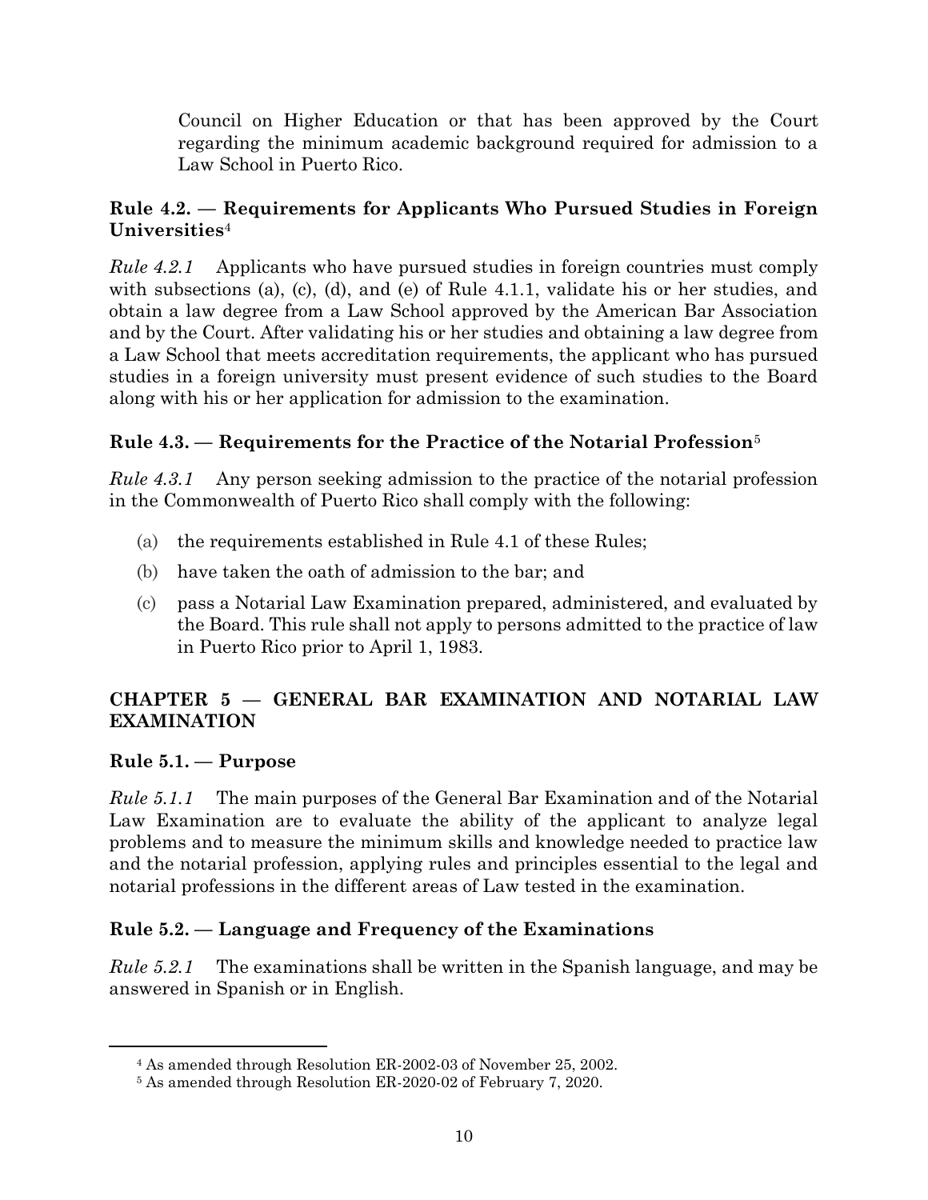Council on Higher Education or that has been approved by the Court regarding the minimum academic background required for admission to a Law School in Puerto Rico.

## <span id="page-13-0"></span>**Rule 4.2. — Requirements for Applicants Who Pursued Studies in Foreign Universities**<sup>4</sup>

*Rule 4.2.1* Applicants who have pursued studies in foreign countries must comply with subsections (a), (c), (d), and (e) of Rule 4.1.1, validate his or her studies, and obtain a law degree from a Law School approved by the American Bar Association and by the Court. After validating his or her studies and obtaining a law degree from a Law School that meets accreditation requirements, the applicant who has pursued studies in a foreign university must present evidence of such studies to the Board along with his or her application for admission to the examination.

# <span id="page-13-1"></span>**Rule 4.3. — Requirements for the Practice of the Notarial Profession**<sup>5</sup>

*Rule 4.3.1* Any person seeking admission to the practice of the notarial profession in the Commonwealth of Puerto Rico shall comply with the following:

- (a) the requirements established in Rule 4.1 of these Rules;
- (b) have taken the oath of admission to the bar; and
- (c) pass a Notarial Law Examination prepared, administered, and evaluated by the Board. This rule shall not apply to persons admitted to the practice of law in Puerto Rico prior to April 1, 1983.

# <span id="page-13-2"></span>**CHAPTER 5 — GENERAL BAR EXAMINATION AND NOTARIAL LAW EXAMINATION**

#### <span id="page-13-3"></span>**Rule 5.1. — Purpose**

*Rule 5.1.1* The main purposes of the General Bar Examination and of the Notarial Law Examination are to evaluate the ability of the applicant to analyze legal problems and to measure the minimum skills and knowledge needed to practice law and the notarial profession, applying rules and principles essential to the legal and notarial professions in the different areas of Law tested in the examination.

# <span id="page-13-4"></span>**Rule 5.2. — Language and Frequency of the Examinations**

*Rule 5.2.1* The examinations shall be written in the Spanish language, and may be answered in Spanish or in English.

<sup>4</sup> As amended through Resolution ER-2002-03 of November 25, 2002.

<sup>5</sup> As amended through Resolution ER-2020-02 of February 7, 2020.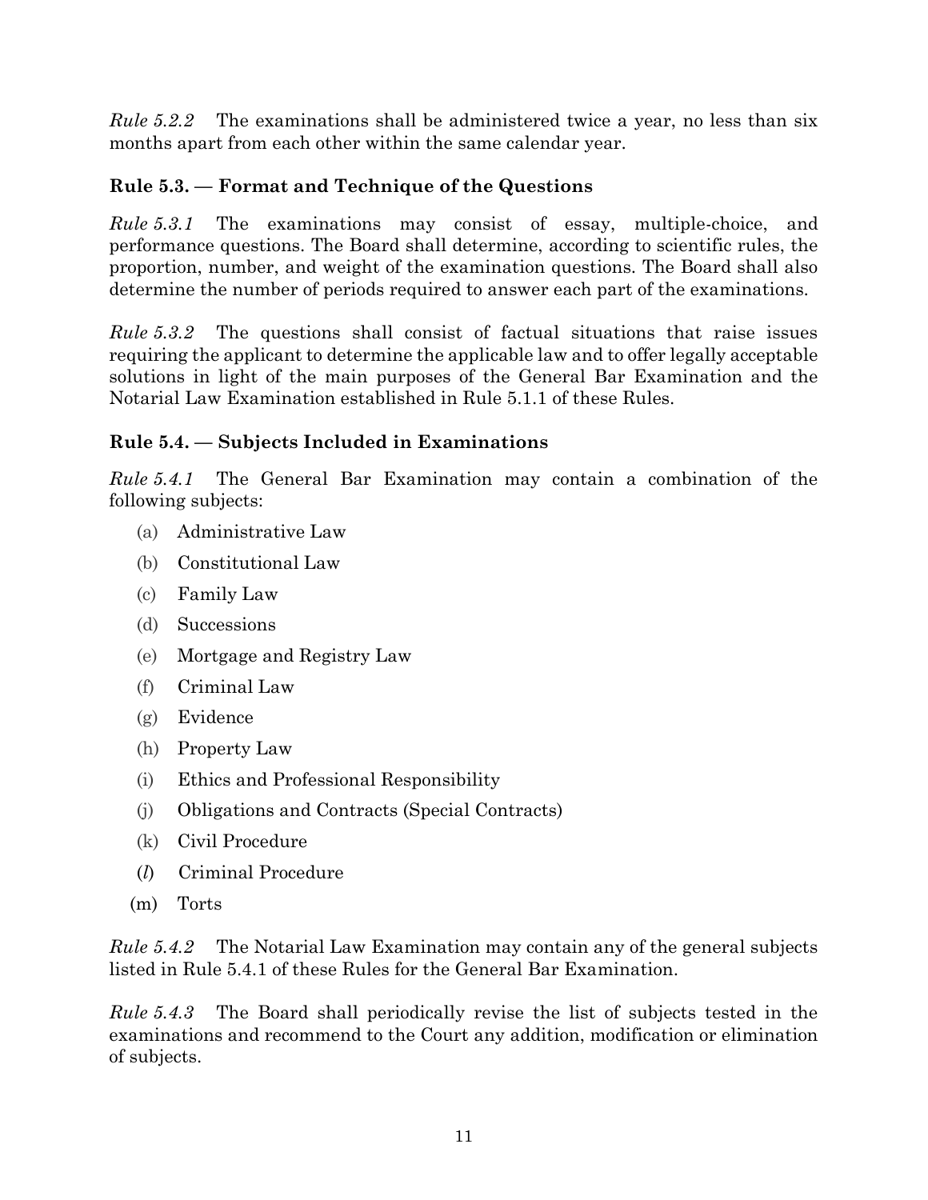*Rule 5.2.2* The examinations shall be administered twice a year, no less than six months apart from each other within the same calendar year.

# <span id="page-14-0"></span>**Rule 5.3. — Format and Technique of the Questions**

*Rule 5.3.1* The examinations may consist of essay, multiple-choice, and performance questions. The Board shall determine, according to scientific rules, the proportion, number, and weight of the examination questions. The Board shall also determine the number of periods required to answer each part of the examinations.

*Rule 5.3.2* The questions shall consist of factual situations that raise issues requiring the applicant to determine the applicable law and to offer legally acceptable solutions in light of the main purposes of the General Bar Examination and the Notarial Law Examination established in Rule 5.1.1 of these Rules.

# <span id="page-14-1"></span>**Rule 5.4. — Subjects Included in Examinations**

*Rule 5.4.1* The General Bar Examination may contain a combination of the following subjects:

- (a) Administrative Law
- (b) Constitutional Law
- (c) Family Law
- (d) Successions
- (e) Mortgage and Registry Law
- (f) Criminal Law
- (g) Evidence
- (h) Property Law
- (i) Ethics and Professional Responsibility
- (j) Obligations and Contracts (Special Contracts)
- (k) Civil Procedure
- (*l*) Criminal Procedure
- (m) Torts

*Rule 5.4.2* The Notarial Law Examination may contain any of the general subjects listed in Rule 5.4.1 of these Rules for the General Bar Examination.

*Rule 5.4.3* The Board shall periodically revise the list of subjects tested in the examinations and recommend to the Court any addition, modification or elimination of subjects.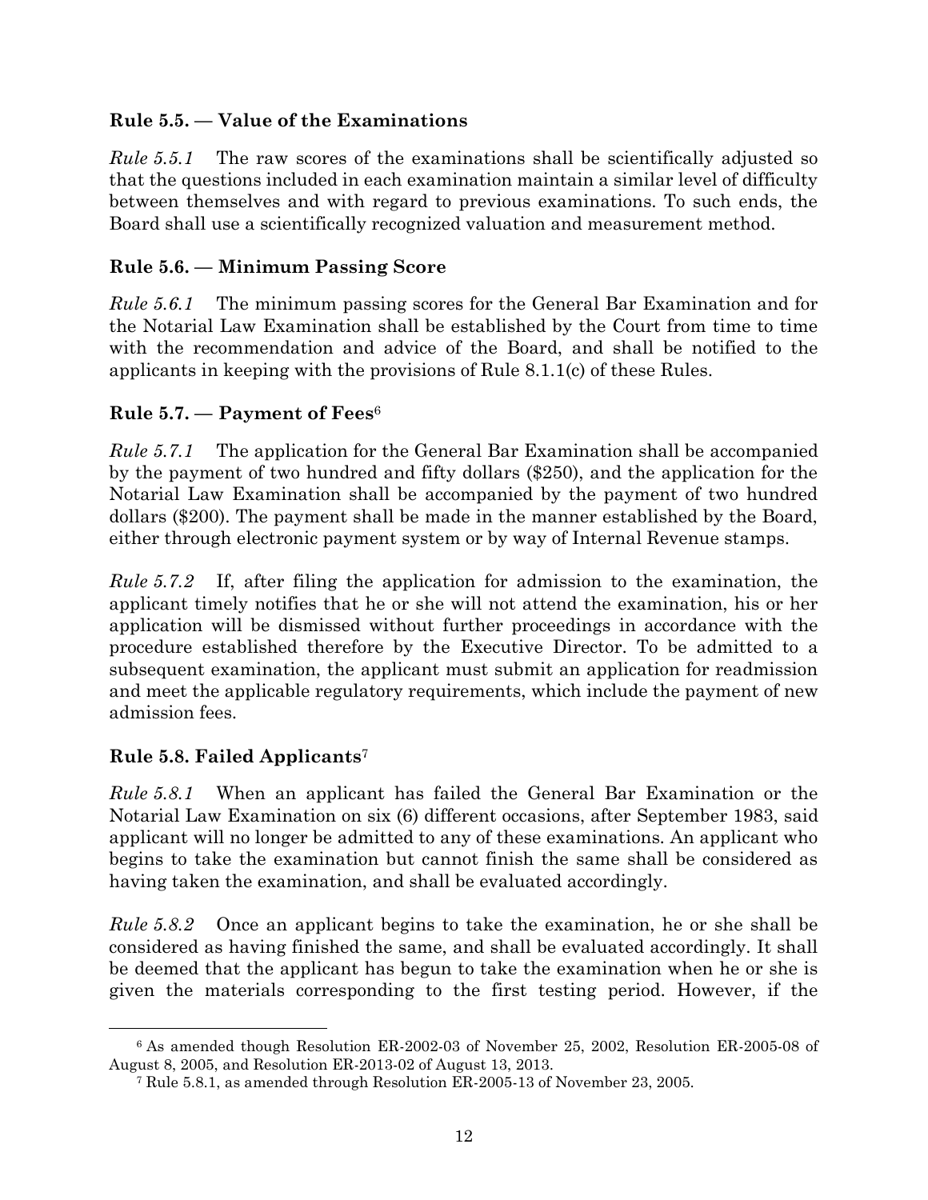## <span id="page-15-0"></span>**Rule 5.5. — Value of the Examinations**

*Rule 5.5.1* The raw scores of the examinations shall be scientifically adjusted so that the questions included in each examination maintain a similar level of difficulty between themselves and with regard to previous examinations. To such ends, the Board shall use a scientifically recognized valuation and measurement method.

## <span id="page-15-1"></span>**Rule 5.6. — Minimum Passing Score**

*Rule 5.6.1* The minimum passing scores for the General Bar Examination and for the Notarial Law Examination shall be established by the Court from time to time with the recommendation and advice of the Board, and shall be notified to the applicants in keeping with the provisions of Rule 8.1.1(c) of these Rules.

#### <span id="page-15-2"></span>**Rule 5.7. — Payment of Fees**<sup>6</sup>

*Rule 5.7.1* The application for the General Bar Examination shall be accompanied by the payment of two hundred and fifty dollars (\$250), and the application for the Notarial Law Examination shall be accompanied by the payment of two hundred dollars (\$200). The payment shall be made in the manner established by the Board, either through electronic payment system or by way of Internal Revenue stamps.

*Rule 5.7.2* If, after filing the application for admission to the examination, the applicant timely notifies that he or she will not attend the examination, his or her application will be dismissed without further proceedings in accordance with the procedure established therefore by the Executive Director. To be admitted to a subsequent examination, the applicant must submit an application for readmission and meet the applicable regulatory requirements, which include the payment of new admission fees.

# <span id="page-15-3"></span>**Rule 5.8. Failed Applicants**<sup>7</sup>

*Rule 5.8.1* When an applicant has failed the General Bar Examination or the Notarial Law Examination on six (6) different occasions, after September 1983, said applicant will no longer be admitted to any of these examinations. An applicant who begins to take the examination but cannot finish the same shall be considered as having taken the examination, and shall be evaluated accordingly.

*Rule 5.8.2* Once an applicant begins to take the examination, he or she shall be considered as having finished the same, and shall be evaluated accordingly. It shall be deemed that the applicant has begun to take the examination when he or she is given the materials corresponding to the first testing period. However, if the

<sup>6</sup> As amended though Resolution ER-2002-03 of November 25, 2002, Resolution ER-2005-08 of August 8, 2005, and Resolution ER-2013-02 of August 13, 2013.

<sup>7</sup> Rule 5.8.1, as amended through Resolution ER-2005-13 of November 23, 2005.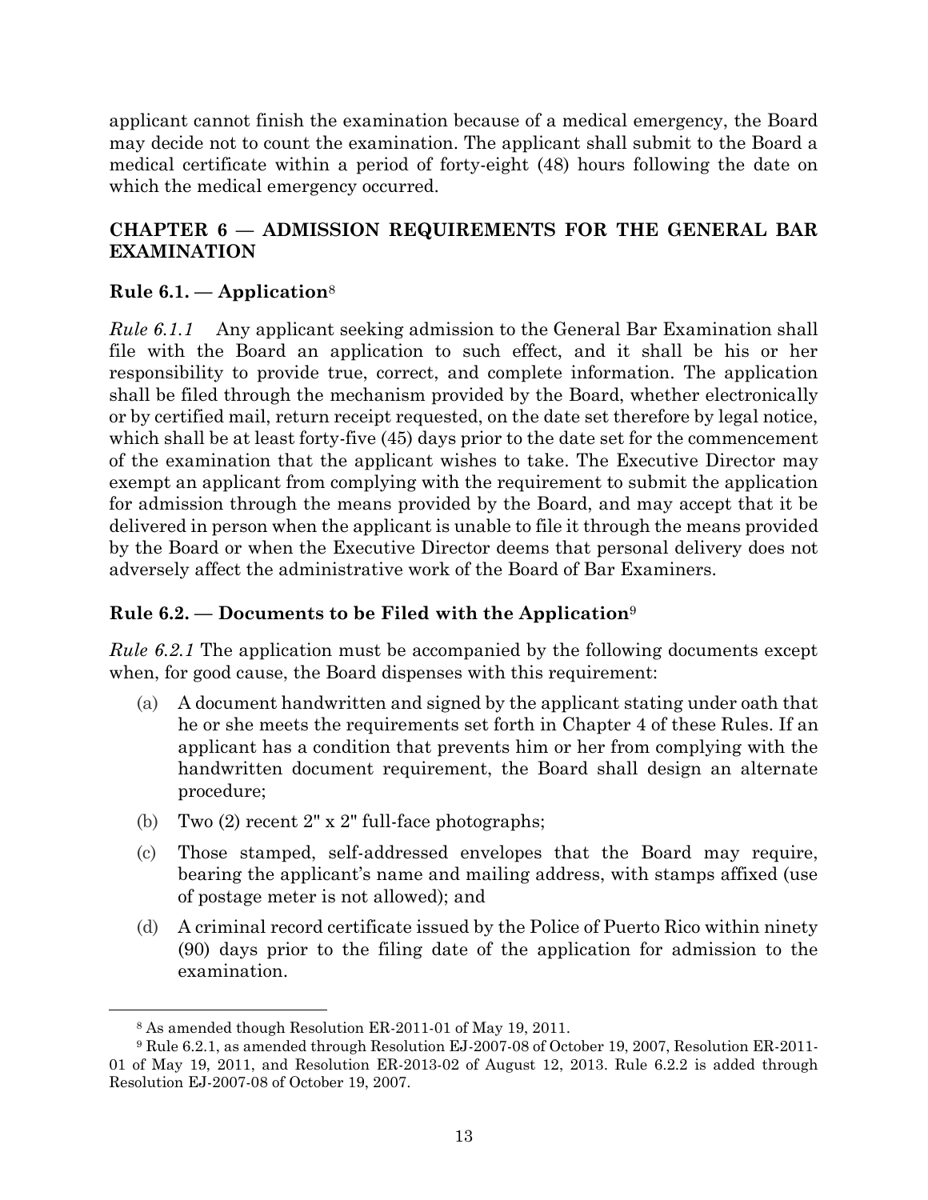applicant cannot finish the examination because of a medical emergency, the Board may decide not to count the examination. The applicant shall submit to the Board a medical certificate within a period of forty-eight (48) hours following the date on which the medical emergency occurred.

## <span id="page-16-0"></span>**CHAPTER 6 — ADMISSION REQUIREMENTS FOR THE GENERAL BAR EXAMINATION**

#### <span id="page-16-1"></span>**Rule 6.1. — Application**<sup>8</sup>

*Rule 6.1.1* Any applicant seeking admission to the General Bar Examination shall file with the Board an application to such effect, and it shall be his or her responsibility to provide true, correct, and complete information. The application shall be filed through the mechanism provided by the Board, whether electronically or by certified mail, return receipt requested, on the date set therefore by legal notice, which shall be at least forty-five (45) days prior to the date set for the commencement of the examination that the applicant wishes to take. The Executive Director may exempt an applicant from complying with the requirement to submit the application for admission through the means provided by the Board, and may accept that it be delivered in person when the applicant is unable to file it through the means provided by the Board or when the Executive Director deems that personal delivery does not adversely affect the administrative work of the Board of Bar Examiners.

#### <span id="page-16-2"></span>**Rule 6.2. — Documents to be Filed with the Application**<sup>9</sup>

*Rule 6.2.1* The application must be accompanied by the following documents except when, for good cause, the Board dispenses with this requirement:

- (a) A document handwritten and signed by the applicant stating under oath that he or she meets the requirements set forth in Chapter 4 of these Rules. If an applicant has a condition that prevents him or her from complying with the handwritten document requirement, the Board shall design an alternate procedure;
- (b) Two  $(2)$  recent  $2" \times 2"$  full-face photographs;
- (c) Those stamped, self-addressed envelopes that the Board may require, bearing the applicant's name and mailing address, with stamps affixed (use of postage meter is not allowed); and
- (d) A criminal record certificate issued by the Police of Puerto Rico within ninety (90) days prior to the filing date of the application for admission to the examination.

<sup>8</sup> As amended though Resolution ER-2011-01 of May 19, 2011.

<sup>9</sup> Rule 6.2.1, as amended through Resolution EJ-2007-08 of October 19, 2007, Resolution ER-2011- 01 of May 19, 2011, and Resolution ER-2013-02 of August 12, 2013. Rule 6.2.2 is added through Resolution EJ-2007-08 of October 19, 2007.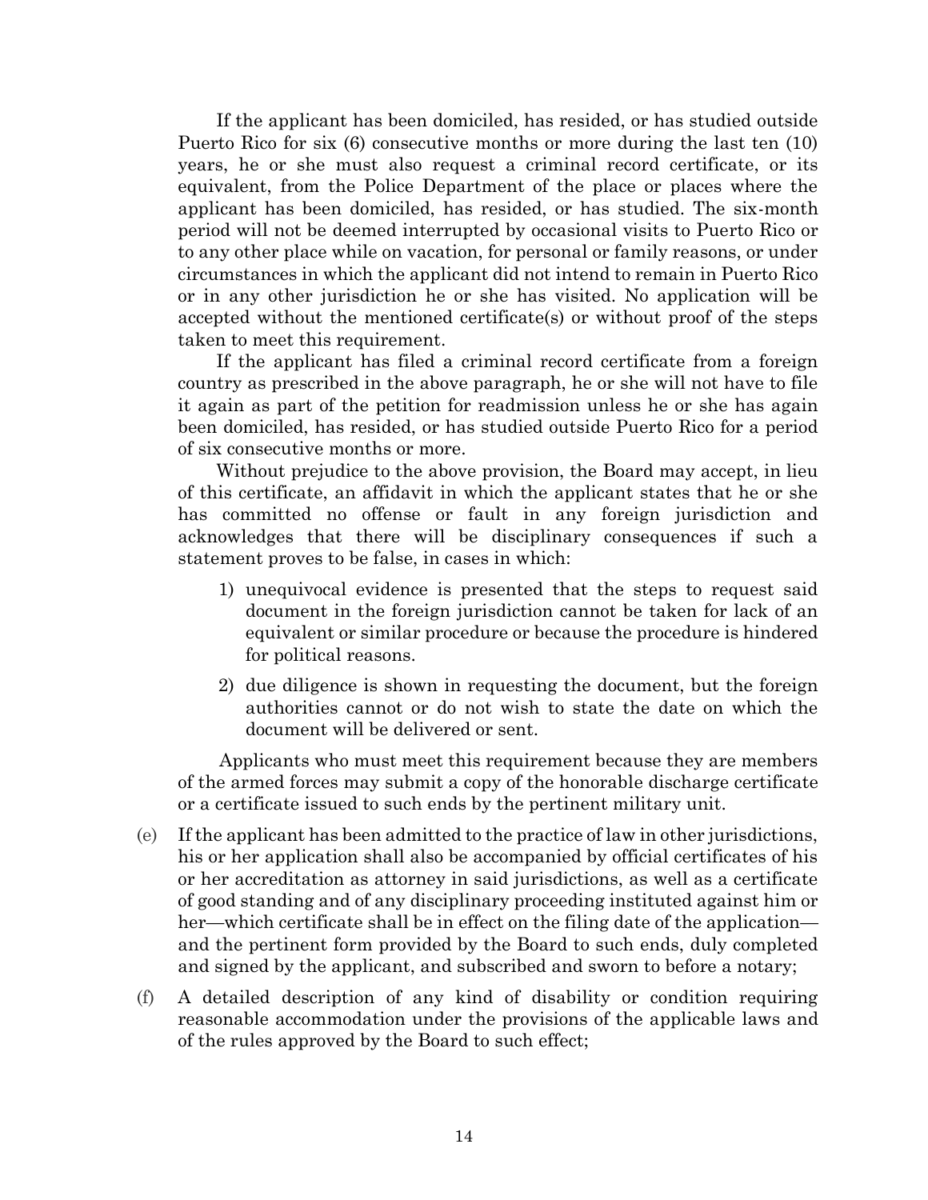If the applicant has been domiciled, has resided, or has studied outside Puerto Rico for six (6) consecutive months or more during the last ten (10) years, he or she must also request a criminal record certificate, or its equivalent, from the Police Department of the place or places where the applicant has been domiciled, has resided, or has studied. The six-month period will not be deemed interrupted by occasional visits to Puerto Rico or to any other place while on vacation, for personal or family reasons, or under circumstances in which the applicant did not intend to remain in Puerto Rico or in any other jurisdiction he or she has visited. No application will be accepted without the mentioned certificate(s) or without proof of the steps taken to meet this requirement.

If the applicant has filed a criminal record certificate from a foreign country as prescribed in the above paragraph, he or she will not have to file it again as part of the petition for readmission unless he or she has again been domiciled, has resided, or has studied outside Puerto Rico for a period of six consecutive months or more.

Without prejudice to the above provision, the Board may accept, in lieu of this certificate, an affidavit in which the applicant states that he or she has committed no offense or fault in any foreign jurisdiction and acknowledges that there will be disciplinary consequences if such a statement proves to be false, in cases in which:

- 1) unequivocal evidence is presented that the steps to request said document in the foreign jurisdiction cannot be taken for lack of an equivalent or similar procedure or because the procedure is hindered for political reasons.
- 2) due diligence is shown in requesting the document, but the foreign authorities cannot or do not wish to state the date on which the document will be delivered or sent.

Applicants who must meet this requirement because they are members of the armed forces may submit a copy of the honorable discharge certificate or a certificate issued to such ends by the pertinent military unit.

- (e) If the applicant has been admitted to the practice of law in other jurisdictions, his or her application shall also be accompanied by official certificates of his or her accreditation as attorney in said jurisdictions, as well as a certificate of good standing and of any disciplinary proceeding instituted against him or her—which certificate shall be in effect on the filing date of the application and the pertinent form provided by the Board to such ends, duly completed and signed by the applicant, and subscribed and sworn to before a notary;
- (f) A detailed description of any kind of disability or condition requiring reasonable accommodation under the provisions of the applicable laws and of the rules approved by the Board to such effect;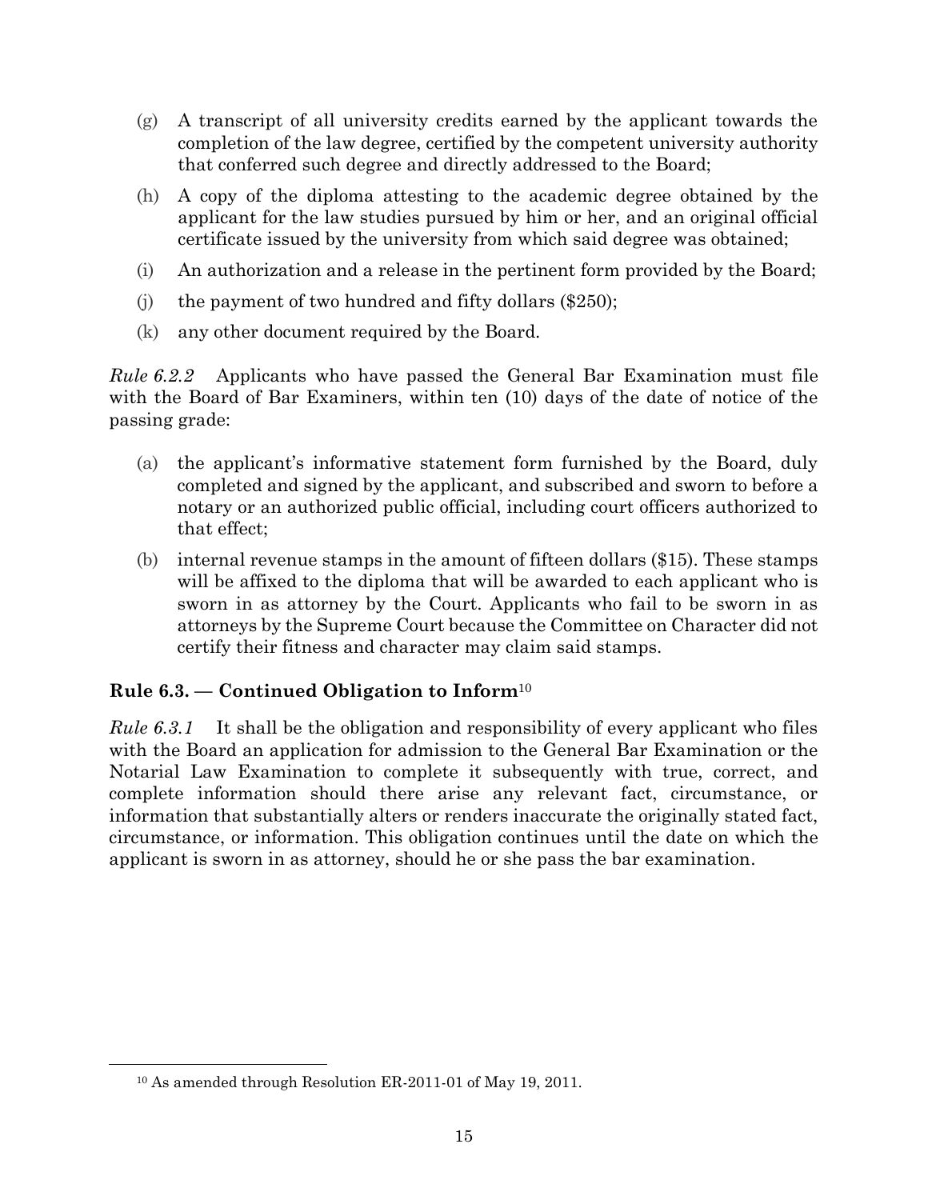- (g) A transcript of all university credits earned by the applicant towards the completion of the law degree, certified by the competent university authority that conferred such degree and directly addressed to the Board;
- (h) A copy of the diploma attesting to the academic degree obtained by the applicant for the law studies pursued by him or her, and an original official certificate issued by the university from which said degree was obtained;
- (i) An authorization and a release in the pertinent form provided by the Board;
- (j) the payment of two hundred and fifty dollars  $(\$250)$ ;
- (k) any other document required by the Board.

*Rule 6.2.2* Applicants who have passed the General Bar Examination must file with the Board of Bar Examiners, within ten (10) days of the date of notice of the passing grade:

- (a) the applicant's informative statement form furnished by the Board, duly completed and signed by the applicant, and subscribed and sworn to before a notary or an authorized public official, including court officers authorized to that effect;
- (b) internal revenue stamps in the amount of fifteen dollars (\$15). These stamps will be affixed to the diploma that will be awarded to each applicant who is sworn in as attorney by the Court. Applicants who fail to be sworn in as attorneys by the Supreme Court because the Committee on Character did not certify their fitness and character may claim said stamps.

#### <span id="page-18-0"></span>**Rule 6.3. — Continued Obligation to Inform**<sup>10</sup>

*Rule 6.3.1* It shall be the obligation and responsibility of every applicant who files with the Board an application for admission to the General Bar Examination or the Notarial Law Examination to complete it subsequently with true, correct, and complete information should there arise any relevant fact, circumstance, or information that substantially alters or renders inaccurate the originally stated fact, circumstance, or information. This obligation continues until the date on which the applicant is sworn in as attorney, should he or she pass the bar examination.

<sup>10</sup> As amended through Resolution ER-2011-01 of May 19, 2011.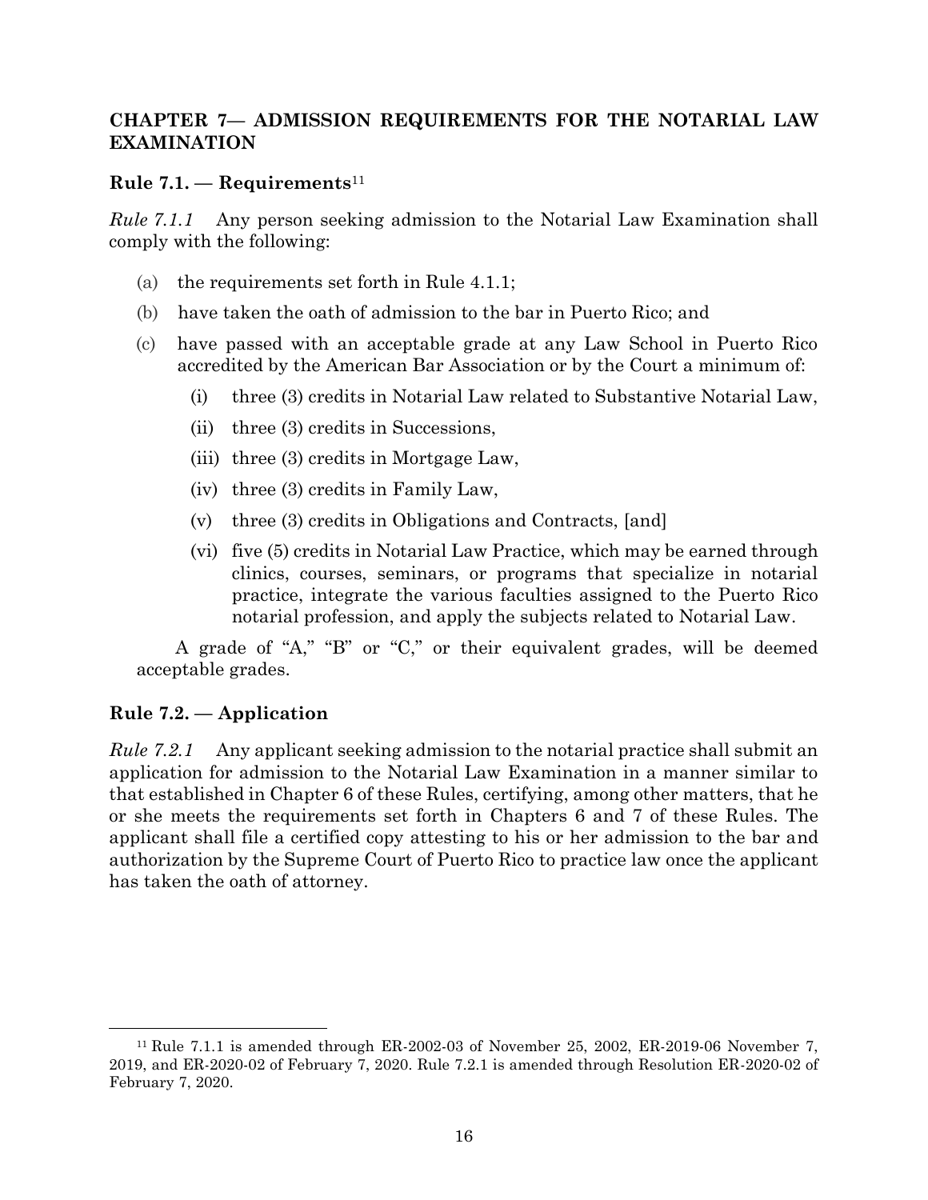#### <span id="page-19-0"></span>**CHAPTER 7— ADMISSION REQUIREMENTS FOR THE NOTARIAL LAW EXAMINATION**

#### <span id="page-19-1"></span>**Rule 7.1. — Requirements**<sup>11</sup>

*Rule 7.1.1* Any person seeking admission to the Notarial Law Examination shall comply with the following:

- (a) the requirements set forth in Rule 4.1.1;
- (b) have taken the oath of admission to the bar in Puerto Rico; and
- (c) have passed with an acceptable grade at any Law School in Puerto Rico accredited by the American Bar Association or by the Court a minimum of:
	- (i) three (3) credits in Notarial Law related to Substantive Notarial Law,
	- (ii) three (3) credits in Successions,
	- (iii) three (3) credits in Mortgage Law,
	- (iv) three (3) credits in Family Law,
	- (v) three (3) credits in Obligations and Contracts, [and]
	- (vi) five (5) credits in Notarial Law Practice, which may be earned through clinics, courses, seminars, or programs that specialize in notarial practice, integrate the various faculties assigned to the Puerto Rico notarial profession, and apply the subjects related to Notarial Law.

A grade of "A," "B" or "C," or their equivalent grades, will be deemed acceptable grades.

#### <span id="page-19-2"></span>**Rule 7.2. — Application**

*Rule 7.2.1* Any applicant seeking admission to the notarial practice shall submit an application for admission to the Notarial Law Examination in a manner similar to that established in Chapter 6 of these Rules, certifying, among other matters, that he or she meets the requirements set forth in Chapters 6 and 7 of these Rules. The applicant shall file a certified copy attesting to his or her admission to the bar and authorization by the Supreme Court of Puerto Rico to practice law once the applicant has taken the oath of attorney.

<sup>11</sup> Rule 7.1.1 is amended through ER-2002-03 of November 25, 2002, ER-2019-06 November 7, 2019, and ER-2020-02 of February 7, 2020. Rule 7.2.1 is amended through Resolution ER-2020-02 of February 7, 2020.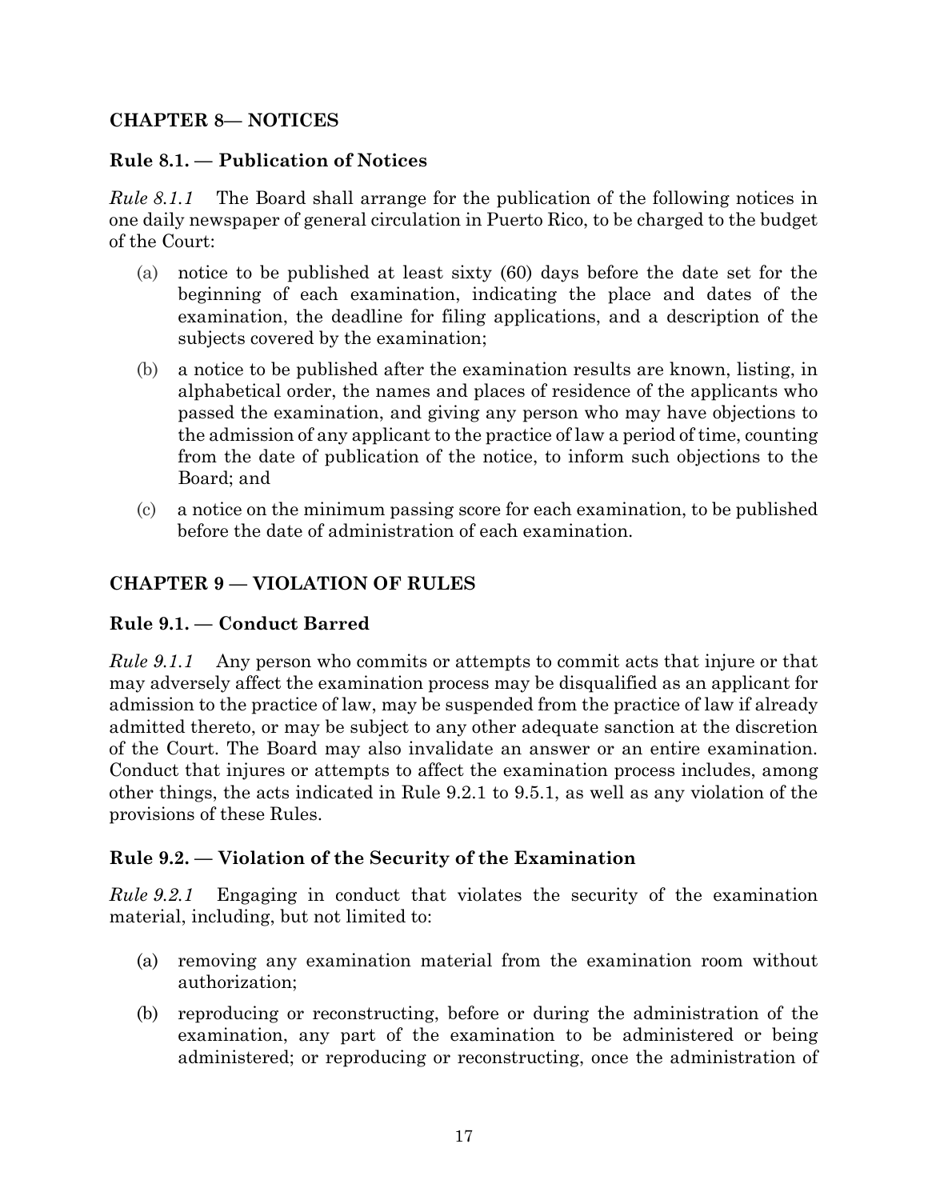#### <span id="page-20-0"></span>**CHAPTER 8— NOTICES**

#### <span id="page-20-1"></span>**Rule 8.1. — Publication of Notices**

*Rule 8.1.1* The Board shall arrange for the publication of the following notices in one daily newspaper of general circulation in Puerto Rico, to be charged to the budget of the Court:

- (a) notice to be published at least sixty (60) days before the date set for the beginning of each examination, indicating the place and dates of the examination, the deadline for filing applications, and a description of the subjects covered by the examination;
- (b) a notice to be published after the examination results are known, listing, in alphabetical order, the names and places of residence of the applicants who passed the examination, and giving any person who may have objections to the admission of any applicant to the practice of law a period of time, counting from the date of publication of the notice, to inform such objections to the Board; and
- (c) a notice on the minimum passing score for each examination, to be published before the date of administration of each examination.

# <span id="page-20-2"></span>**CHAPTER 9 — VIOLATION OF RULES**

#### <span id="page-20-3"></span>**Rule 9.1. — Conduct Barred**

*Rule 9.1.1* Any person who commits or attempts to commit acts that injure or that may adversely affect the examination process may be disqualified as an applicant for admission to the practice of law, may be suspended from the practice of law if already admitted thereto, or may be subject to any other adequate sanction at the discretion of the Court. The Board may also invalidate an answer or an entire examination. Conduct that injures or attempts to affect the examination process includes, among other things, the acts indicated in Rule 9.2.1 to 9.5.1, as well as any violation of the provisions of these Rules.

#### <span id="page-20-4"></span>**Rule 9.2. — Violation of the Security of the Examination**

*Rule 9.2.1* Engaging in conduct that violates the security of the examination material, including, but not limited to:

- (a) removing any examination material from the examination room without authorization;
- (b) reproducing or reconstructing, before or during the administration of the examination, any part of the examination to be administered or being administered; or reproducing or reconstructing, once the administration of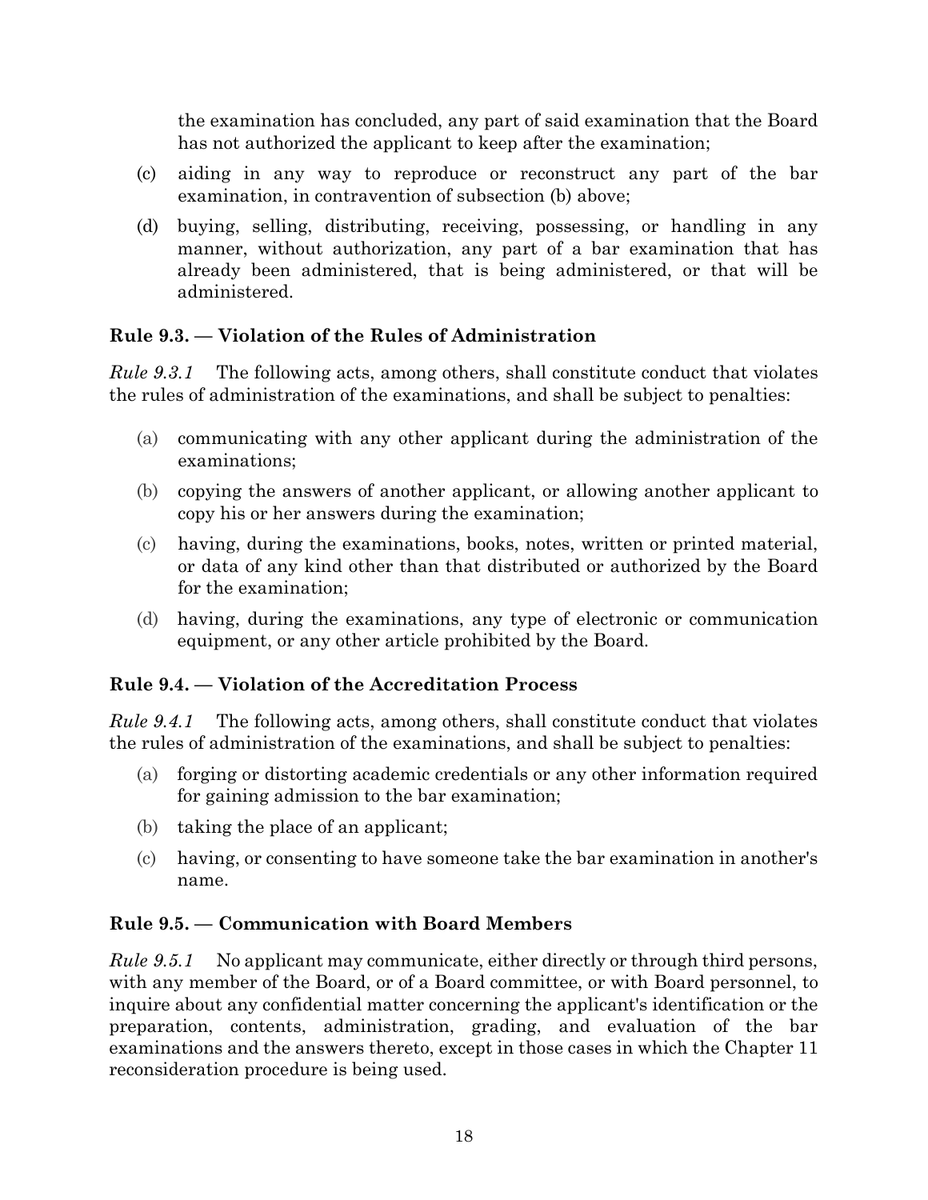the examination has concluded, any part of said examination that the Board has not authorized the applicant to keep after the examination;

- (c) aiding in any way to reproduce or reconstruct any part of the bar examination, in contravention of subsection (b) above;
- (d) buying, selling, distributing, receiving, possessing, or handling in any manner, without authorization, any part of a bar examination that has already been administered, that is being administered, or that will be administered.

# <span id="page-21-0"></span>**Rule 9.3. — Violation of the Rules of Administration**

*Rule 9.3.1* The following acts, among others, shall constitute conduct that violates the rules of administration of the examinations, and shall be subject to penalties:

- (a) communicating with any other applicant during the administration of the examinations;
- (b) copying the answers of another applicant, or allowing another applicant to copy his or her answers during the examination;
- (c) having, during the examinations, books, notes, written or printed material, or data of any kind other than that distributed or authorized by the Board for the examination;
- (d) having, during the examinations, any type of electronic or communication equipment, or any other article prohibited by the Board.

#### <span id="page-21-1"></span>**Rule 9.4. — Violation of the Accreditation Process**

*Rule 9.4.1* The following acts, among others, shall constitute conduct that violates the rules of administration of the examinations, and shall be subject to penalties:

- (a) forging or distorting academic credentials or any other information required for gaining admission to the bar examination;
- (b) taking the place of an applicant;
- (c) having, or consenting to have someone take the bar examination in another's name.

# <span id="page-21-2"></span>**Rule 9.5. — Communication with Board Members**

*Rule 9.5.1* No applicant may communicate, either directly or through third persons, with any member of the Board, or of a Board committee, or with Board personnel, to inquire about any confidential matter concerning the applicant's identification or the preparation, contents, administration, grading, and evaluation of the bar examinations and the answers thereto, except in those cases in which the Chapter 11 reconsideration procedure is being used.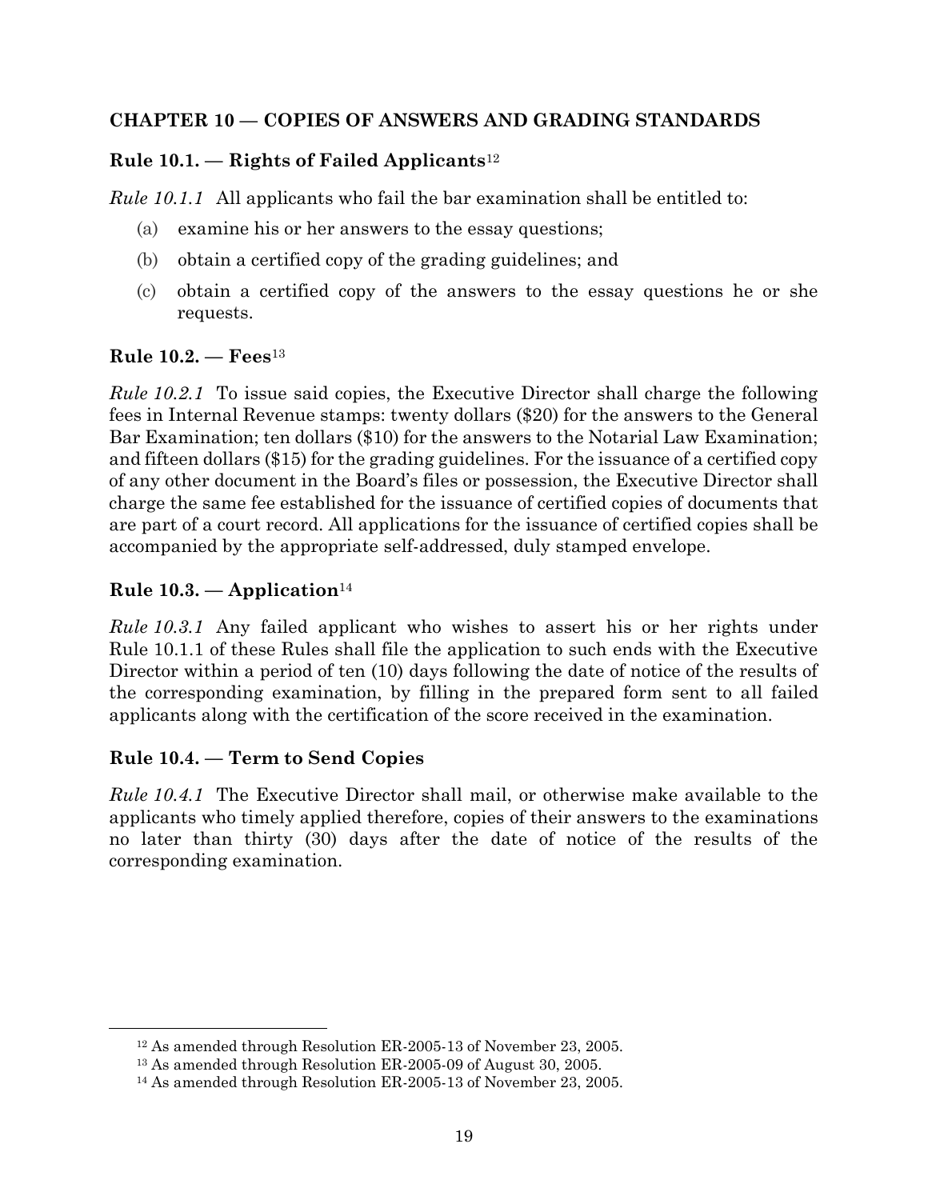#### <span id="page-22-0"></span>**CHAPTER 10 — COPIES OF ANSWERS AND GRADING STANDARDS**

# <span id="page-22-1"></span>**Rule 10.1. — Rights of Failed Applicants**<sup>12</sup>

*Rule 10.1.1* All applicants who fail the bar examination shall be entitled to:

- (a) examine his or her answers to the essay questions;
- (b) obtain a certified copy of the grading guidelines; and
- (c) obtain a certified copy of the answers to the essay questions he or she requests.

#### <span id="page-22-2"></span>**Rule 10.2. — Fees**<sup>13</sup>

*Rule 10.2.1* To issue said copies, the Executive Director shall charge the following fees in Internal Revenue stamps: twenty dollars (\$20) for the answers to the General Bar Examination; ten dollars (\$10) for the answers to the Notarial Law Examination; and fifteen dollars (\$15) for the grading guidelines. For the issuance of a certified copy of any other document in the Board's files or possession, the Executive Director shall charge the same fee established for the issuance of certified copies of documents that are part of a court record. All applications for the issuance of certified copies shall be accompanied by the appropriate self-addressed, duly stamped envelope.

#### <span id="page-22-3"></span>**Rule 10.3. — Application**<sup>14</sup>

*Rule 10.3.1* Any failed applicant who wishes to assert his or her rights under Rule 10.1.1 of these Rules shall file the application to such ends with the Executive Director within a period of ten (10) days following the date of notice of the results of the corresponding examination, by filling in the prepared form sent to all failed applicants along with the certification of the score received in the examination.

#### <span id="page-22-4"></span>**Rule 10.4. — Term to Send Copies**

*Rule 10.4.1* The Executive Director shall mail, or otherwise make available to the applicants who timely applied therefore, copies of their answers to the examinations no later than thirty (30) days after the date of notice of the results of the corresponding examination.

<sup>12</sup> As amended through Resolution ER-2005-13 of November 23, 2005.

<sup>13</sup> As amended through Resolution ER-2005-09 of August 30, 2005.

<sup>14</sup> As amended through Resolution ER-2005-13 of November 23, 2005.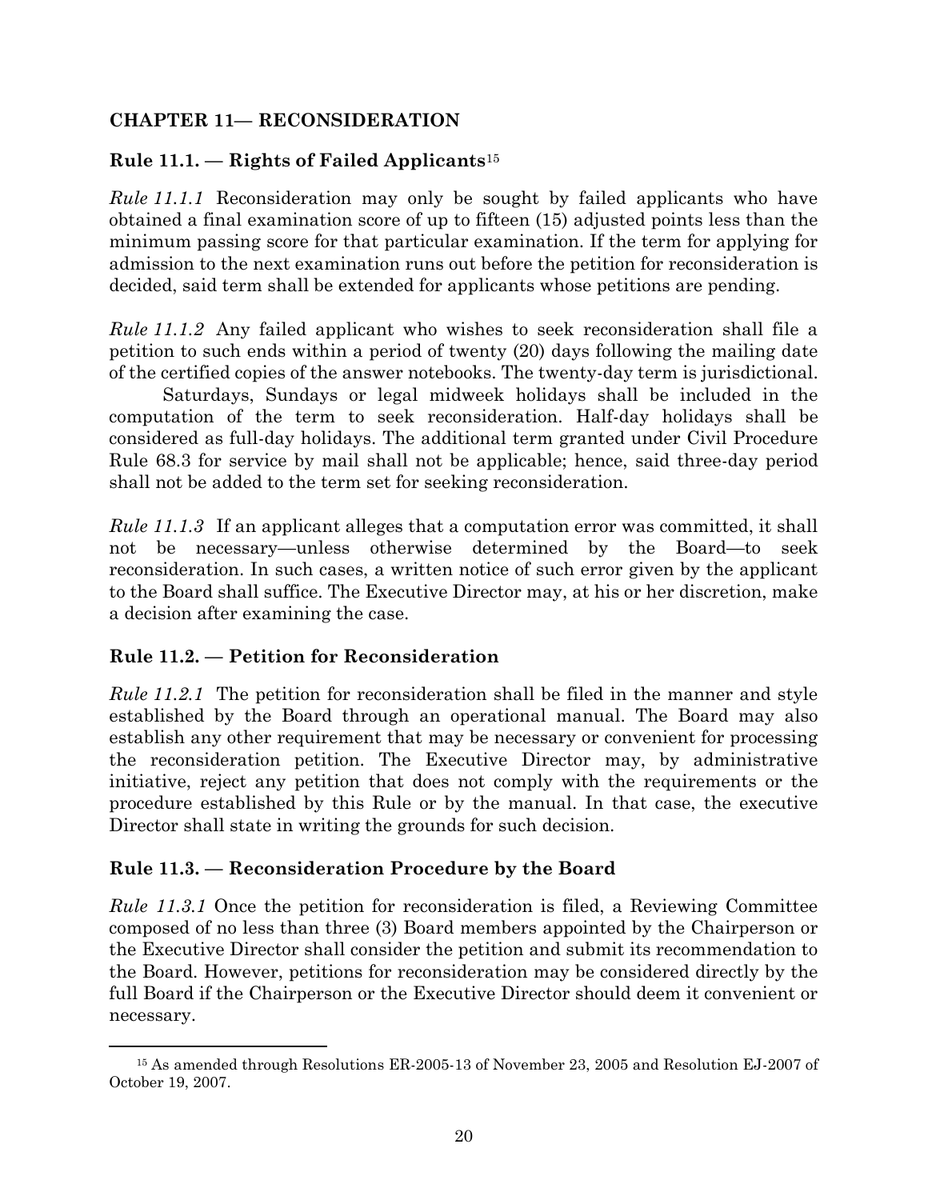## <span id="page-23-0"></span>**CHAPTER 11— RECONSIDERATION**

## <span id="page-23-1"></span>**Rule 11.1. — Rights of Failed Applicants**<sup>15</sup>

*Rule 11.1.1* Reconsideration may only be sought by failed applicants who have obtained a final examination score of up to fifteen (15) adjusted points less than the minimum passing score for that particular examination. If the term for applying for admission to the next examination runs out before the petition for reconsideration is decided, said term shall be extended for applicants whose petitions are pending.

*Rule 11.1.2* Any failed applicant who wishes to seek reconsideration shall file a petition to such ends within a period of twenty (20) days following the mailing date of the certified copies of the answer notebooks. The twenty-day term is jurisdictional.

Saturdays, Sundays or legal midweek holidays shall be included in the computation of the term to seek reconsideration. Half-day holidays shall be considered as full-day holidays. The additional term granted under Civil Procedure Rule 68.3 for service by mail shall not be applicable; hence, said three-day period shall not be added to the term set for seeking reconsideration.

*Rule 11.1.3* If an applicant alleges that a computation error was committed, it shall not be necessary—unless otherwise determined by the Board—to seek reconsideration. In such cases, a written notice of such error given by the applicant to the Board shall suffice. The Executive Director may, at his or her discretion, make a decision after examining the case.

#### <span id="page-23-2"></span>**Rule 11.2. — Petition for Reconsideration**

*Rule 11.2.1* The petition for reconsideration shall be filed in the manner and style established by the Board through an operational manual. The Board may also establish any other requirement that may be necessary or convenient for processing the reconsideration petition. The Executive Director may, by administrative initiative, reject any petition that does not comply with the requirements or the procedure established by this Rule or by the manual. In that case, the executive Director shall state in writing the grounds for such decision.

#### <span id="page-23-3"></span>**Rule 11.3. — Reconsideration Procedure by the Board**

*Rule 11.3.1* Once the petition for reconsideration is filed, a Reviewing Committee composed of no less than three (3) Board members appointed by the Chairperson or the Executive Director shall consider the petition and submit its recommendation to the Board. However, petitions for reconsideration may be considered directly by the full Board if the Chairperson or the Executive Director should deem it convenient or necessary.

<sup>15</sup> As amended through Resolutions ER-2005-13 of November 23, 2005 and Resolution EJ-2007 of October 19, 2007.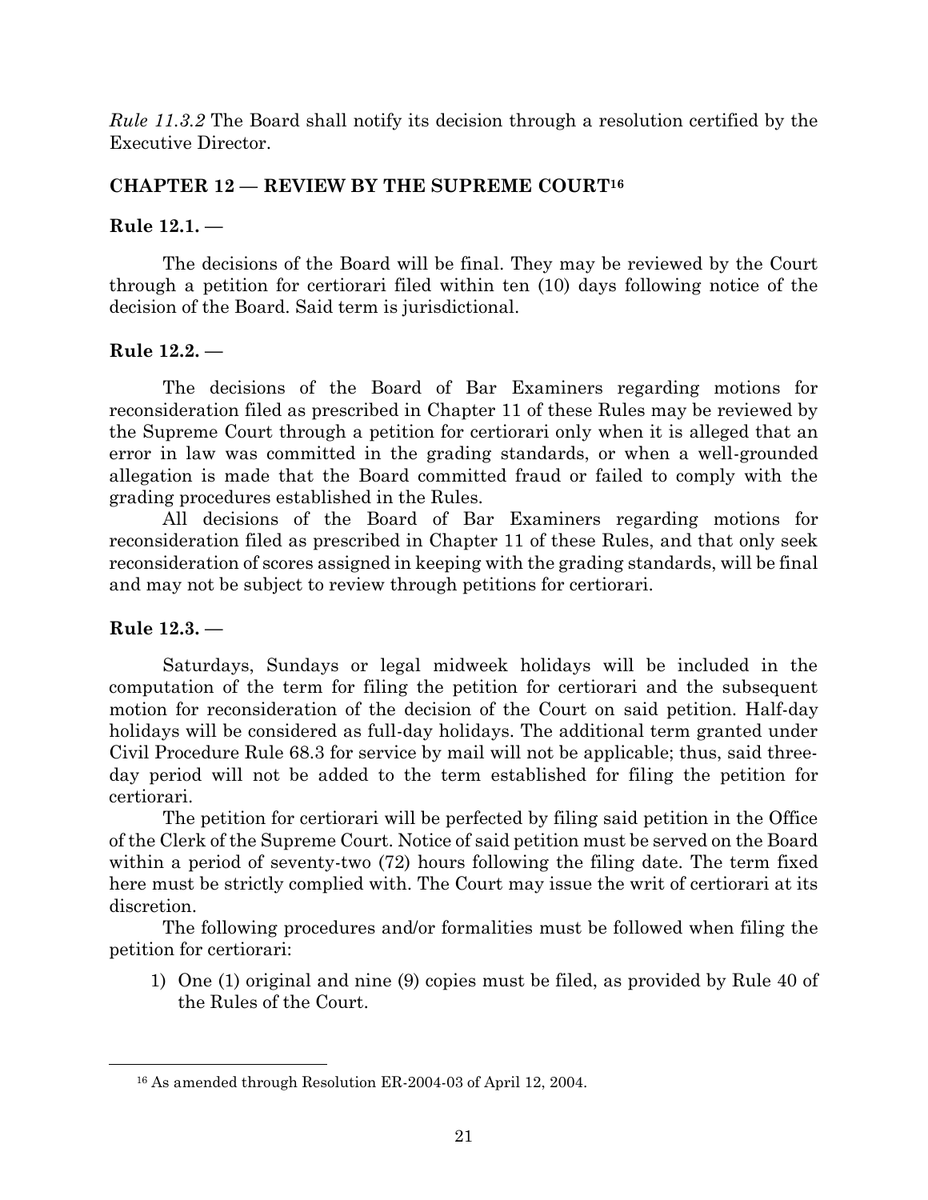*Rule 11.3.2* The Board shall notify its decision through a resolution certified by the Executive Director.

#### <span id="page-24-0"></span>**CHAPTER 12 — REVIEW BY THE SUPREME COURT<sup>16</sup>**

#### <span id="page-24-1"></span>**Rule 12.1. —**

The decisions of the Board will be final. They may be reviewed by the Court through a petition for certiorari filed within ten (10) days following notice of the decision of the Board. Said term is jurisdictional.

#### <span id="page-24-2"></span>**Rule 12.2. —**

The decisions of the Board of Bar Examiners regarding motions for reconsideration filed as prescribed in Chapter 11 of these Rules may be reviewed by the Supreme Court through a petition for certiorari only when it is alleged that an error in law was committed in the grading standards, or when a well-grounded allegation is made that the Board committed fraud or failed to comply with the grading procedures established in the Rules.

All decisions of the Board of Bar Examiners regarding motions for reconsideration filed as prescribed in Chapter 11 of these Rules, and that only seek reconsideration of scores assigned in keeping with the grading standards, will be final and may not be subject to review through petitions for certiorari.

# <span id="page-24-3"></span>**Rule 12.3. —**

Saturdays, Sundays or legal midweek holidays will be included in the computation of the term for filing the petition for certiorari and the subsequent motion for reconsideration of the decision of the Court on said petition. Half-day holidays will be considered as full-day holidays. The additional term granted under Civil Procedure Rule 68.3 for service by mail will not be applicable; thus, said threeday period will not be added to the term established for filing the petition for certiorari.

The petition for certiorari will be perfected by filing said petition in the Office of the Clerk of the Supreme Court. Notice of said petition must be served on the Board within a period of seventy-two (72) hours following the filing date. The term fixed here must be strictly complied with. The Court may issue the writ of certiorari at its discretion.

The following procedures and/or formalities must be followed when filing the petition for certiorari:

1) One (1) original and nine (9) copies must be filed, as provided by Rule 40 of the Rules of the Court.

<sup>16</sup> As amended through Resolution ER-2004-03 of April 12, 2004.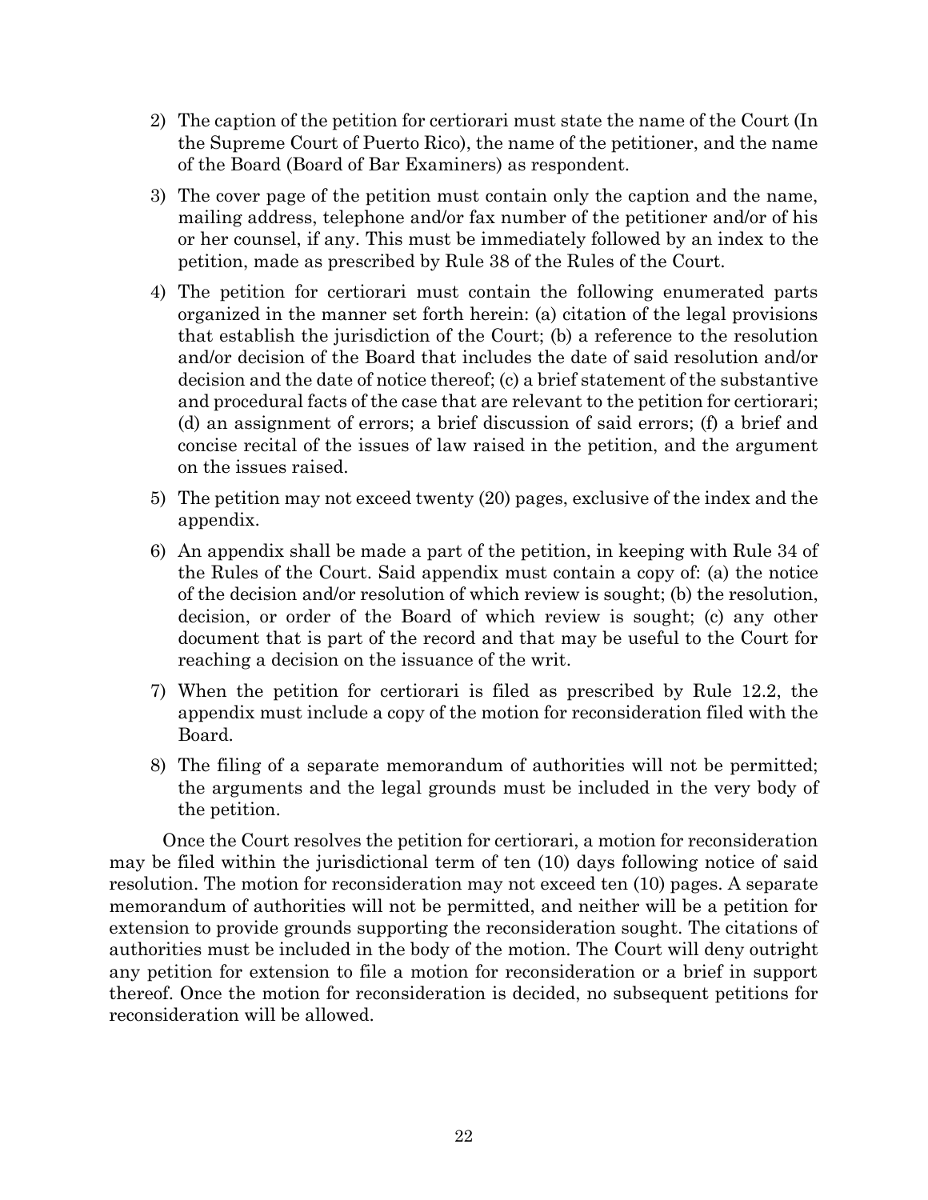- 2) The caption of the petition for certiorari must state the name of the Court (In the Supreme Court of Puerto Rico), the name of the petitioner, and the name of the Board (Board of Bar Examiners) as respondent.
- 3) The cover page of the petition must contain only the caption and the name, mailing address, telephone and/or fax number of the petitioner and/or of his or her counsel, if any. This must be immediately followed by an index to the petition, made as prescribed by Rule 38 of the Rules of the Court.
- 4) The petition for certiorari must contain the following enumerated parts organized in the manner set forth herein: (a) citation of the legal provisions that establish the jurisdiction of the Court; (b) a reference to the resolution and/or decision of the Board that includes the date of said resolution and/or decision and the date of notice thereof; (c) a brief statement of the substantive and procedural facts of the case that are relevant to the petition for certiorari; (d) an assignment of errors; a brief discussion of said errors; (f) a brief and concise recital of the issues of law raised in the petition, and the argument on the issues raised.
- 5) The petition may not exceed twenty (20) pages, exclusive of the index and the appendix.
- 6) An appendix shall be made a part of the petition, in keeping with Rule 34 of the Rules of the Court. Said appendix must contain a copy of: (a) the notice of the decision and/or resolution of which review is sought; (b) the resolution, decision, or order of the Board of which review is sought; (c) any other document that is part of the record and that may be useful to the Court for reaching a decision on the issuance of the writ.
- 7) When the petition for certiorari is filed as prescribed by Rule 12.2, the appendix must include a copy of the motion for reconsideration filed with the Board.
- 8) The filing of a separate memorandum of authorities will not be permitted; the arguments and the legal grounds must be included in the very body of the petition.

Once the Court resolves the petition for certiorari, a motion for reconsideration may be filed within the jurisdictional term of ten (10) days following notice of said resolution. The motion for reconsideration may not exceed ten (10) pages. A separate memorandum of authorities will not be permitted, and neither will be a petition for extension to provide grounds supporting the reconsideration sought. The citations of authorities must be included in the body of the motion. The Court will deny outright any petition for extension to file a motion for reconsideration or a brief in support thereof. Once the motion for reconsideration is decided, no subsequent petitions for reconsideration will be allowed.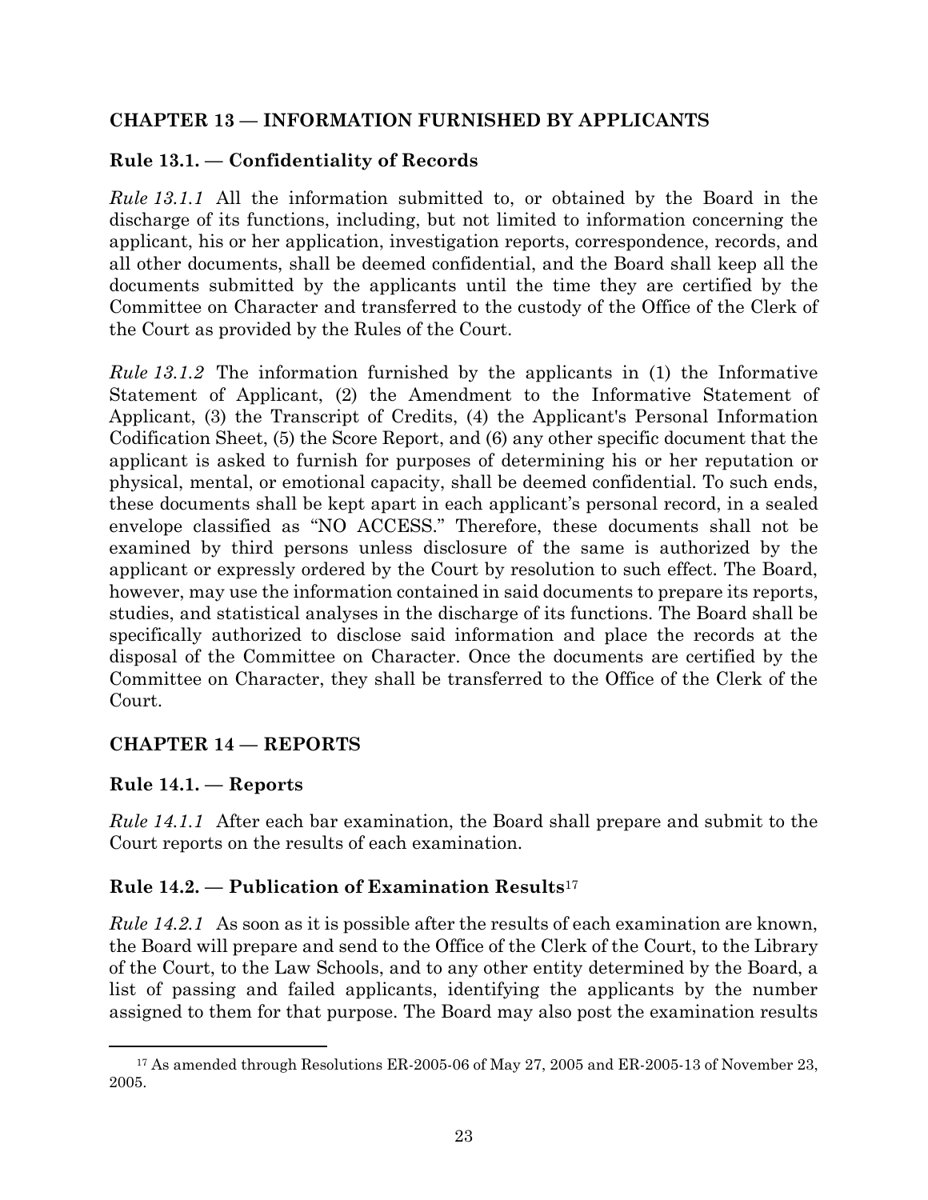#### <span id="page-26-0"></span>**CHAPTER 13 — INFORMATION FURNISHED BY APPLICANTS**

# <span id="page-26-1"></span>**Rule 13.1. — Confidentiality of Records**

*Rule 13.1.1* All the information submitted to, or obtained by the Board in the discharge of its functions, including, but not limited to information concerning the applicant, his or her application, investigation reports, correspondence, records, and all other documents, shall be deemed confidential, and the Board shall keep all the documents submitted by the applicants until the time they are certified by the Committee on Character and transferred to the custody of the Office of the Clerk of the Court as provided by the Rules of the Court.

*Rule 13.1.2* The information furnished by the applicants in (1) the Informative Statement of Applicant, (2) the Amendment to the Informative Statement of Applicant, (3) the Transcript of Credits, (4) the Applicant's Personal Information Codification Sheet, (5) the Score Report, and (6) any other specific document that the applicant is asked to furnish for purposes of determining his or her reputation or physical, mental, or emotional capacity, shall be deemed confidential. To such ends, these documents shall be kept apart in each applicant's personal record, in a sealed envelope classified as "NO ACCESS." Therefore, these documents shall not be examined by third persons unless disclosure of the same is authorized by the applicant or expressly ordered by the Court by resolution to such effect. The Board, however, may use the information contained in said documents to prepare its reports, studies, and statistical analyses in the discharge of its functions. The Board shall be specifically authorized to disclose said information and place the records at the disposal of the Committee on Character. Once the documents are certified by the Committee on Character, they shall be transferred to the Office of the Clerk of the Court.

# <span id="page-26-2"></span>**CHAPTER 14 — REPORTS**

#### <span id="page-26-3"></span>**Rule 14.1. — Reports**

*Rule 14.1.1* After each bar examination, the Board shall prepare and submit to the Court reports on the results of each examination.

#### <span id="page-26-4"></span>**Rule 14.2. — Publication of Examination Results**<sup>17</sup>

*Rule 14.2.1* As soon as it is possible after the results of each examination are known, the Board will prepare and send to the Office of the Clerk of the Court, to the Library of the Court, to the Law Schools, and to any other entity determined by the Board, a list of passing and failed applicants, identifying the applicants by the number assigned to them for that purpose. The Board may also post the examination results

<sup>&</sup>lt;sup>17</sup> As amended through Resolutions ER-2005-06 of May 27, 2005 and ER-2005-13 of November 23, 2005.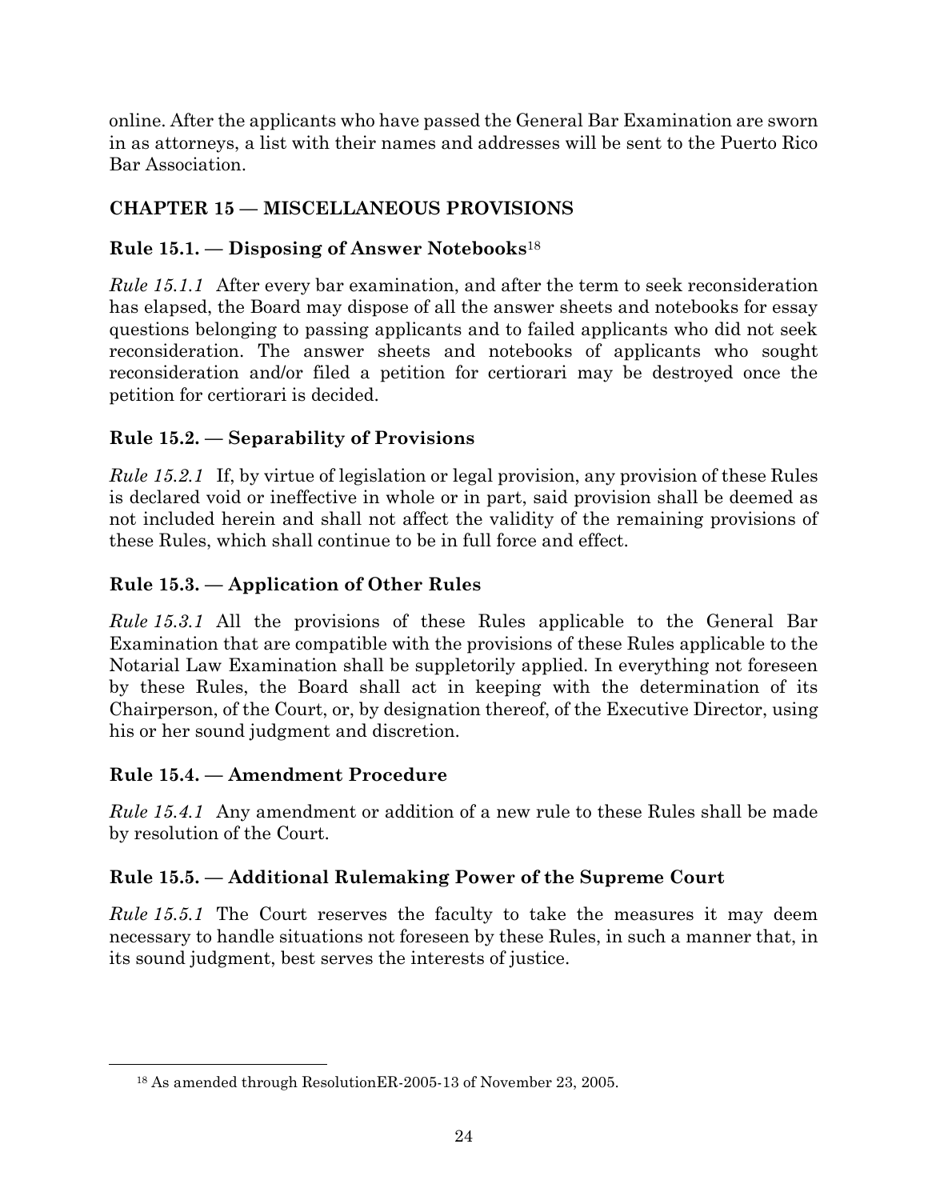online. After the applicants who have passed the General Bar Examination are sworn in as attorneys, a list with their names and addresses will be sent to the Puerto Rico Bar Association.

# <span id="page-27-0"></span>**CHAPTER 15 — MISCELLANEOUS PROVISIONS**

# <span id="page-27-1"></span>**Rule 15.1. — Disposing of Answer Notebooks**<sup>18</sup>

*Rule 15.1.1* After every bar examination, and after the term to seek reconsideration has elapsed, the Board may dispose of all the answer sheets and notebooks for essay questions belonging to passing applicants and to failed applicants who did not seek reconsideration. The answer sheets and notebooks of applicants who sought reconsideration and/or filed a petition for certiorari may be destroyed once the petition for certiorari is decided.

# <span id="page-27-2"></span>**Rule 15.2. — Separability of Provisions**

*Rule 15.2.1* If, by virtue of legislation or legal provision, any provision of these Rules is declared void or ineffective in whole or in part, said provision shall be deemed as not included herein and shall not affect the validity of the remaining provisions of these Rules, which shall continue to be in full force and effect.

# <span id="page-27-3"></span>**Rule 15.3. — Application of Other Rules**

*Rule 15.3.1* All the provisions of these Rules applicable to the General Bar Examination that are compatible with the provisions of these Rules applicable to the Notarial Law Examination shall be suppletorily applied. In everything not foreseen by these Rules, the Board shall act in keeping with the determination of its Chairperson, of the Court, or, by designation thereof, of the Executive Director, using his or her sound judgment and discretion.

#### <span id="page-27-4"></span>**Rule 15.4. — Amendment Procedure**

*Rule 15.4.1* Any amendment or addition of a new rule to these Rules shall be made by resolution of the Court.

# <span id="page-27-5"></span>**Rule 15.5. — Additional Rulemaking Power of the Supreme Court**

*Rule 15.5.1* The Court reserves the faculty to take the measures it may deem necessary to handle situations not foreseen by these Rules, in such a manner that, in its sound judgment, best serves the interests of justice.

<sup>18</sup> As amended through ResolutionER-2005-13 of November 23, 2005.